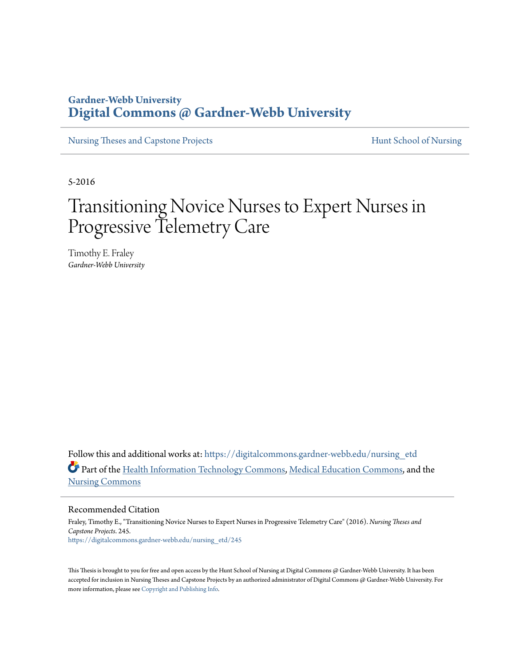## **Gardner-Webb University [Digital Commons @ Gardner-Webb University](https://digitalcommons.gardner-webb.edu?utm_source=digitalcommons.gardner-webb.edu%2Fnursing_etd%2F245&utm_medium=PDF&utm_campaign=PDFCoverPages)**

[Nursing Theses and Capstone Projects](https://digitalcommons.gardner-webb.edu/nursing_etd?utm_source=digitalcommons.gardner-webb.edu%2Fnursing_etd%2F245&utm_medium=PDF&utm_campaign=PDFCoverPages) **[Hunt School of Nursing](https://digitalcommons.gardner-webb.edu/nursing?utm_source=digitalcommons.gardner-webb.edu%2Fnursing_etd%2F245&utm_medium=PDF&utm_campaign=PDFCoverPages)** 

5-2016

# Transitioning Novice Nurses to Expert Nurses in Progressive Telemetry Care

Timothy E. Fraley *Gardner-Webb University*

Follow this and additional works at: [https://digitalcommons.gardner-webb.edu/nursing\\_etd](https://digitalcommons.gardner-webb.edu/nursing_etd?utm_source=digitalcommons.gardner-webb.edu%2Fnursing_etd%2F245&utm_medium=PDF&utm_campaign=PDFCoverPages) Part of the [Health Information Technology Commons](http://network.bepress.com/hgg/discipline/1239?utm_source=digitalcommons.gardner-webb.edu%2Fnursing_etd%2F245&utm_medium=PDF&utm_campaign=PDFCoverPages), [Medical Education Commons,](http://network.bepress.com/hgg/discipline/1125?utm_source=digitalcommons.gardner-webb.edu%2Fnursing_etd%2F245&utm_medium=PDF&utm_campaign=PDFCoverPages) and the [Nursing Commons](http://network.bepress.com/hgg/discipline/718?utm_source=digitalcommons.gardner-webb.edu%2Fnursing_etd%2F245&utm_medium=PDF&utm_campaign=PDFCoverPages)

Recommended Citation

Fraley, Timothy E., "Transitioning Novice Nurses to Expert Nurses in Progressive Telemetry Care" (2016). *Nursing Theses and Capstone Projects*. 245. [https://digitalcommons.gardner-webb.edu/nursing\\_etd/245](https://digitalcommons.gardner-webb.edu/nursing_etd/245?utm_source=digitalcommons.gardner-webb.edu%2Fnursing_etd%2F245&utm_medium=PDF&utm_campaign=PDFCoverPages)

This Thesis is brought to you for free and open access by the Hunt School of Nursing at Digital Commons @ Gardner-Webb University. It has been accepted for inclusion in Nursing Theses and Capstone Projects by an authorized administrator of Digital Commons @ Gardner-Webb University. For more information, please see [Copyright and Publishing Info](https://digitalcommons.gardner-webb.edu/copyright_publishing.html).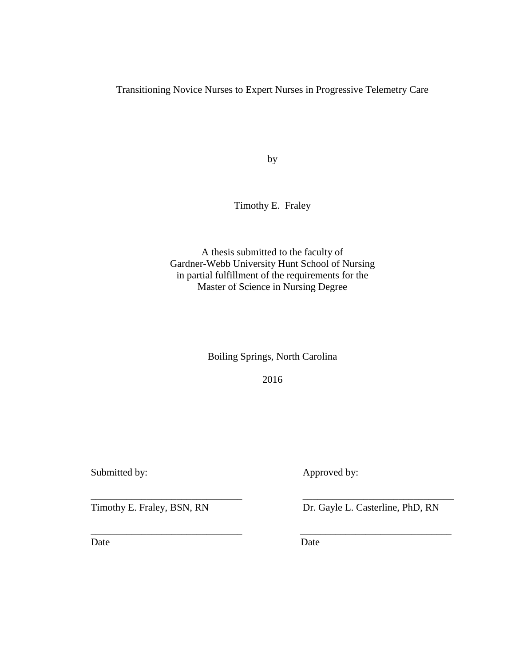Transitioning Novice Nurses to Expert Nurses in Progressive Telemetry Care

by

Timothy E. Fraley

A thesis submitted to the faculty of Gardner-Webb University Hunt School of Nursing in partial fulfillment of the requirements for the Master of Science in Nursing Degree

Boiling Springs, North Carolina

2016

\_\_\_\_\_\_\_\_\_\_\_\_\_\_\_\_\_\_\_\_\_\_\_\_\_\_\_\_\_\_ \_\_\_\_\_\_\_\_\_\_\_\_\_\_\_\_\_\_\_\_\_\_\_\_\_\_\_\_\_\_

\_\_\_\_\_\_\_\_\_\_\_\_\_\_\_\_\_\_\_\_\_\_\_\_\_\_\_\_\_\_ \_\_\_\_\_\_\_\_\_\_\_\_\_\_\_\_\_\_\_\_\_\_\_\_\_\_\_\_\_\_

Submitted by: Approved by:

Date Date Date

Timothy E. Fraley, BSN, RN Dr. Gayle L. Casterline, PhD, RN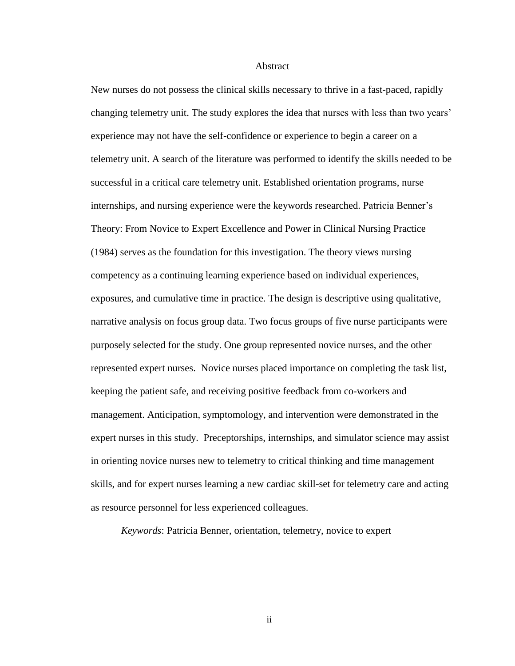#### Abstract

New nurses do not possess the clinical skills necessary to thrive in a fast-paced, rapidly changing telemetry unit. The study explores the idea that nurses with less than two years' experience may not have the self-confidence or experience to begin a career on a telemetry unit. A search of the literature was performed to identify the skills needed to be successful in a critical care telemetry unit. Established orientation programs, nurse internships, and nursing experience were the keywords researched. Patricia Benner's Theory: From Novice to Expert Excellence and Power in Clinical Nursing Practice (1984) serves as the foundation for this investigation. The theory views nursing competency as a continuing learning experience based on individual experiences, exposures, and cumulative time in practice. The design is descriptive using qualitative, narrative analysis on focus group data. Two focus groups of five nurse participants were purposely selected for the study. One group represented novice nurses, and the other represented expert nurses. Novice nurses placed importance on completing the task list, keeping the patient safe, and receiving positive feedback from co-workers and management. Anticipation, symptomology, and intervention were demonstrated in the expert nurses in this study. Preceptorships, internships, and simulator science may assist in orienting novice nurses new to telemetry to critical thinking and time management skills, and for expert nurses learning a new cardiac skill-set for telemetry care and acting as resource personnel for less experienced colleagues.

*Keywords*: Patricia Benner, orientation, telemetry, novice to expert

ii aan ah iyo dhaqaan iiraa dhaqaan iiraa dhaqaan iiraa dhaqaan iiraa dhaqaan iiraa dhaqaan iiraa dhaqaan iira<br>Markaan iiraa dhaqaan iiraa dhaqaan iiraa dhaqaan iiraa dhaqaan iiraa dhaqaan iiraa dhaqaan iiraa dhaqaan iira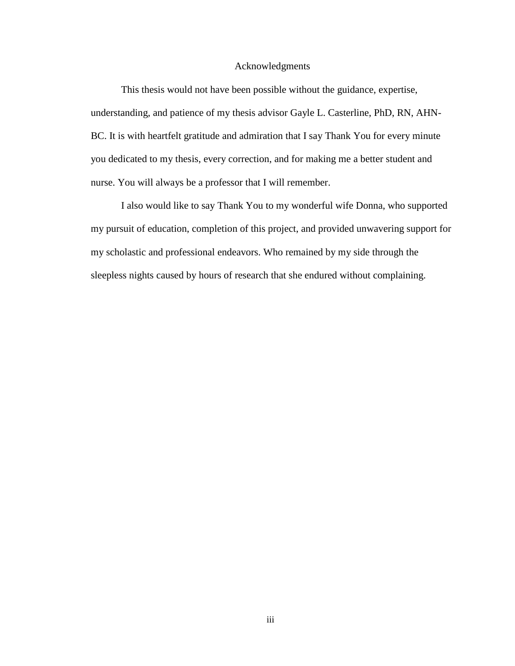#### Acknowledgments

This thesis would not have been possible without the guidance, expertise, understanding, and patience of my thesis advisor Gayle L. Casterline, PhD, RN, AHN-BC. It is with heartfelt gratitude and admiration that I say Thank You for every minute you dedicated to my thesis, every correction, and for making me a better student and nurse. You will always be a professor that I will remember.

I also would like to say Thank You to my wonderful wife Donna, who supported my pursuit of education, completion of this project, and provided unwavering support for my scholastic and professional endeavors. Who remained by my side through the sleepless nights caused by hours of research that she endured without complaining.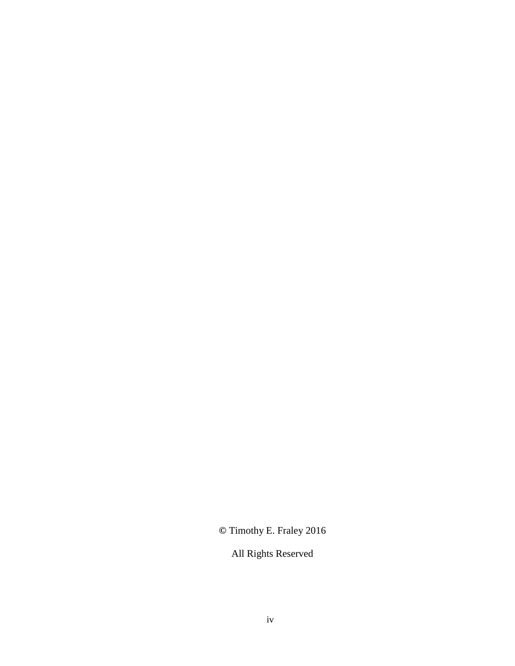**©** Timothy E. Fraley 2016

All Rights Reserved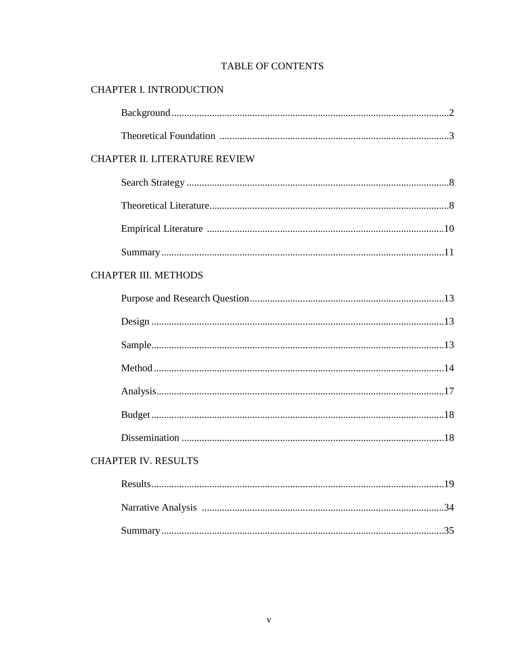## **TABLE OF CONTENTS**

## CHAPTER I. INTRODUCTION

| <b>CHAPTER II. LITERATURE REVIEW</b> |
|--------------------------------------|
|                                      |
|                                      |
|                                      |
|                                      |
| <b>CHAPTER III. METHODS</b>          |
|                                      |
|                                      |
|                                      |
|                                      |
|                                      |
|                                      |
|                                      |
| <b>CHAPTER IV. RESULTS</b>           |
|                                      |
|                                      |
|                                      |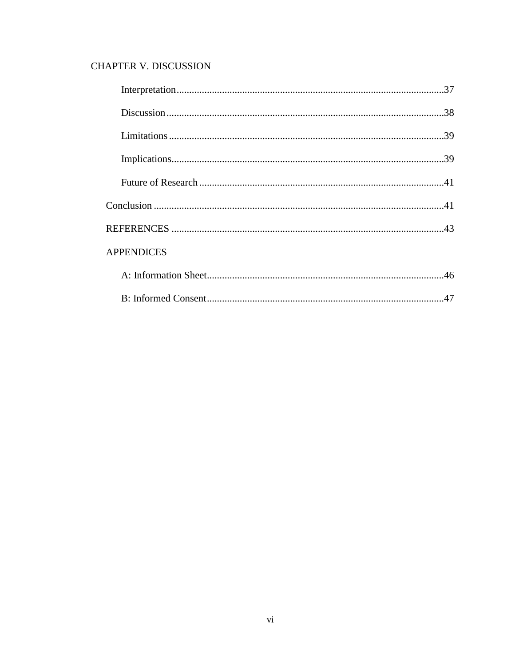## **CHAPTER V. DISCUSSION**

| <b>APPENDICES</b> |
|-------------------|
|                   |
|                   |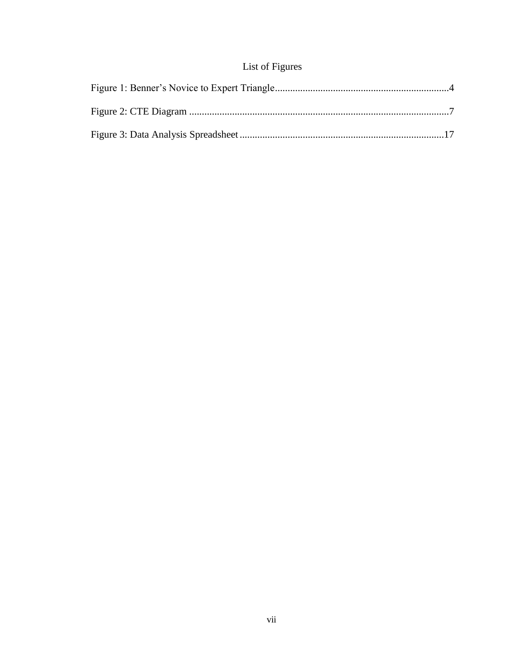## List of Figures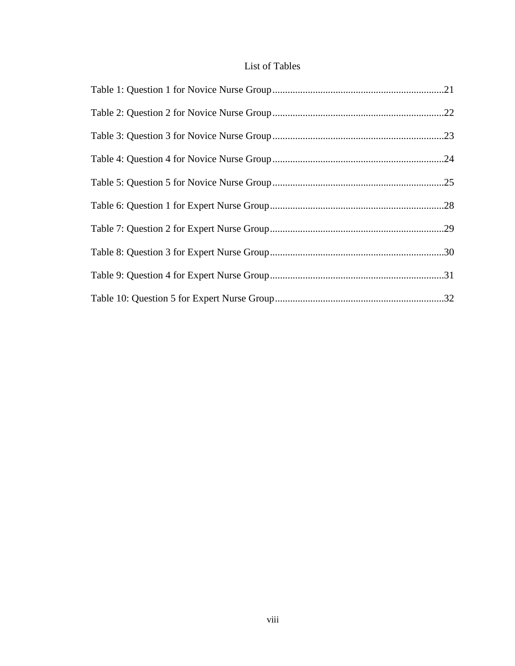## List of Tables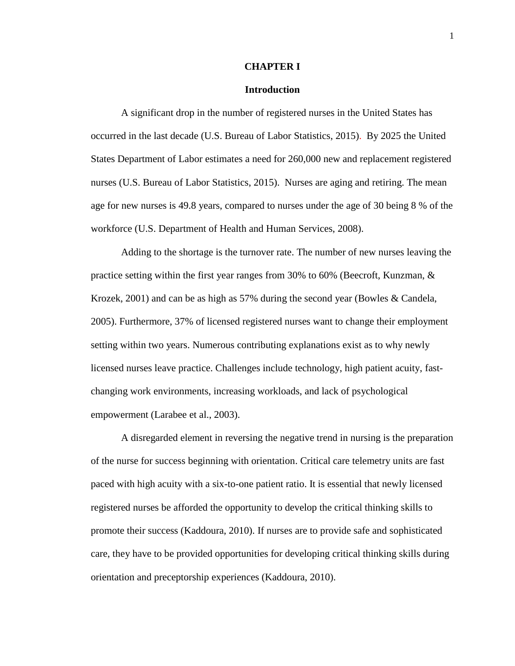#### **CHAPTER I**

#### **Introduction**

A significant drop in the number of registered nurses in the United States has occurred in the last decade (U.S. Bureau of Labor Statistics, 2015). By 2025 the United States Department of Labor estimates a need for 260,000 new and replacement registered nurses (U.S. Bureau of Labor Statistics, 2015). Nurses are aging and retiring. The mean age for new nurses is 49.8 years, compared to nurses under the age of 30 being 8 % of the workforce (U.S. Department of Health and Human Services, 2008).

Adding to the shortage is the turnover rate. The number of new nurses leaving the practice setting within the first year ranges from 30% to 60% (Beecroft, Kunzman, & Krozek, 2001) and can be as high as 57% during the second year (Bowles & Candela, 2005). Furthermore, 37% of licensed registered nurses want to change their employment setting within two years. Numerous contributing explanations exist as to why newly licensed nurses leave practice. Challenges include technology, high patient acuity, fastchanging work environments, increasing workloads, and lack of psychological empowerment (Larabee et al., 2003).

A disregarded element in reversing the negative trend in nursing is the preparation of the nurse for success beginning with orientation. Critical care telemetry units are fast paced with high acuity with a six-to-one patient ratio. It is essential that newly licensed registered nurses be afforded the opportunity to develop the critical thinking skills to promote their success (Kaddoura, 2010). If nurses are to provide safe and sophisticated care, they have to be provided opportunities for developing critical thinking skills during orientation and preceptorship experiences (Kaddoura, 2010).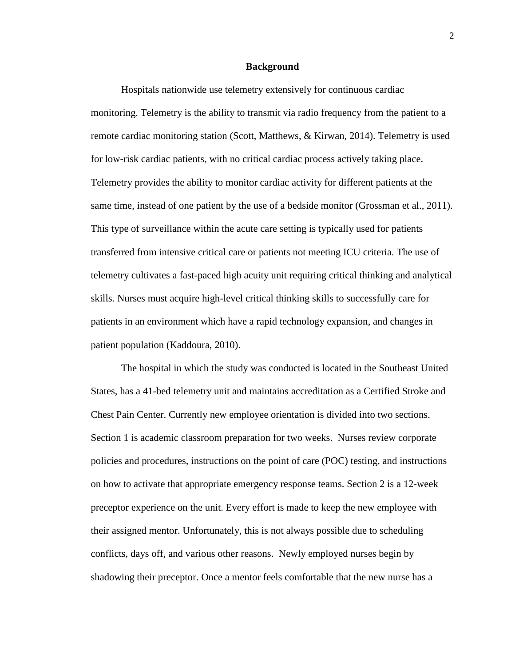#### **Background**

Hospitals nationwide use telemetry extensively for continuous cardiac monitoring. Telemetry is the ability to transmit via radio frequency from the patient to a remote cardiac monitoring station (Scott, Matthews, & Kirwan, 2014). Telemetry is used for low-risk cardiac patients, with no critical cardiac process actively taking place. Telemetry provides the ability to monitor cardiac activity for different patients at the same time, instead of one patient by the use of a bedside monitor (Grossman et al., 2011). This type of surveillance within the acute care setting is typically used for patients transferred from intensive critical care or patients not meeting ICU criteria. The use of telemetry cultivates a fast-paced high acuity unit requiring critical thinking and analytical skills. Nurses must acquire high-level critical thinking skills to successfully care for patients in an environment which have a rapid technology expansion, and changes in patient population (Kaddoura, 2010).

The hospital in which the study was conducted is located in the Southeast United States, has a 41-bed telemetry unit and maintains accreditation as a Certified Stroke and Chest Pain Center. Currently new employee orientation is divided into two sections. Section 1 is academic classroom preparation for two weeks. Nurses review corporate policies and procedures, instructions on the point of care (POC) testing, and instructions on how to activate that appropriate emergency response teams. Section 2 is a 12-week preceptor experience on the unit. Every effort is made to keep the new employee with their assigned mentor. Unfortunately, this is not always possible due to scheduling conflicts, days off, and various other reasons. Newly employed nurses begin by shadowing their preceptor. Once a mentor feels comfortable that the new nurse has a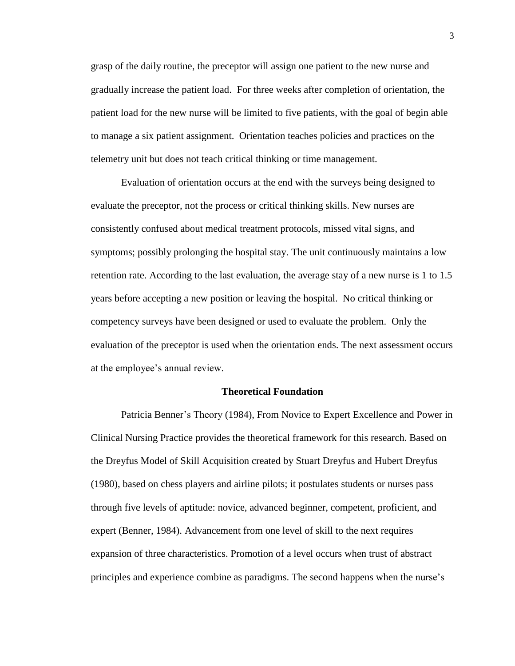grasp of the daily routine, the preceptor will assign one patient to the new nurse and gradually increase the patient load. For three weeks after completion of orientation, the patient load for the new nurse will be limited to five patients, with the goal of begin able to manage a six patient assignment. Orientation teaches policies and practices on the telemetry unit but does not teach critical thinking or time management.

Evaluation of orientation occurs at the end with the surveys being designed to evaluate the preceptor, not the process or critical thinking skills. New nurses are consistently confused about medical treatment protocols, missed vital signs, and symptoms; possibly prolonging the hospital stay. The unit continuously maintains a low retention rate. According to the last evaluation, the average stay of a new nurse is 1 to 1.5 years before accepting a new position or leaving the hospital. No critical thinking or competency surveys have been designed or used to evaluate the problem. Only the evaluation of the preceptor is used when the orientation ends. The next assessment occurs at the employee's annual review.

#### **Theoretical Foundation**

Patricia Benner's Theory (1984), From Novice to Expert Excellence and Power in Clinical Nursing Practice provides the theoretical framework for this research. Based on the Dreyfus Model of Skill Acquisition created by Stuart Dreyfus and Hubert Dreyfus (1980), based on chess players and airline pilots; it postulates students or nurses pass through five levels of aptitude: novice, advanced beginner, competent, proficient, and expert (Benner, 1984). Advancement from one level of skill to the next requires expansion of three characteristics. Promotion of a level occurs when trust of abstract principles and experience combine as paradigms. The second happens when the nurse's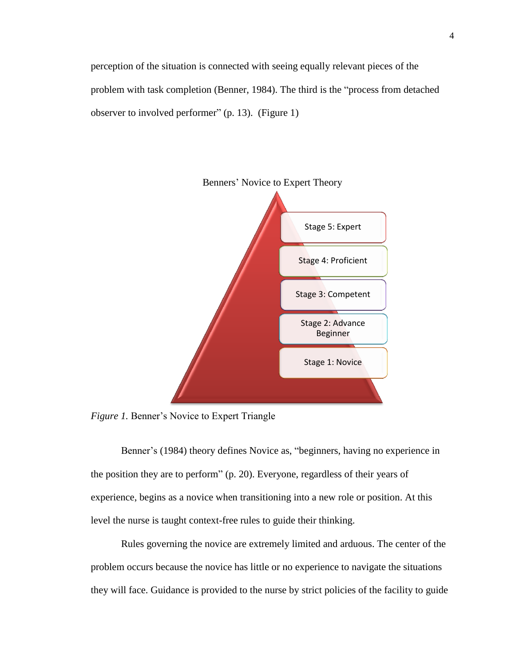perception of the situation is connected with seeing equally relevant pieces of the problem with task completion (Benner, 1984). The third is the "process from detached observer to involved performer" (p. 13). (Figure 1)



*Figure 1.* Benner's Novice to Expert Triangle

Benner's (1984) theory defines Novice as, "beginners, having no experience in the position they are to perform" (p. 20). Everyone, regardless of their years of experience, begins as a novice when transitioning into a new role or position. At this level the nurse is taught context-free rules to guide their thinking.

Rules governing the novice are extremely limited and arduous. The center of the problem occurs because the novice has little or no experience to navigate the situations they will face. Guidance is provided to the nurse by strict policies of the facility to guide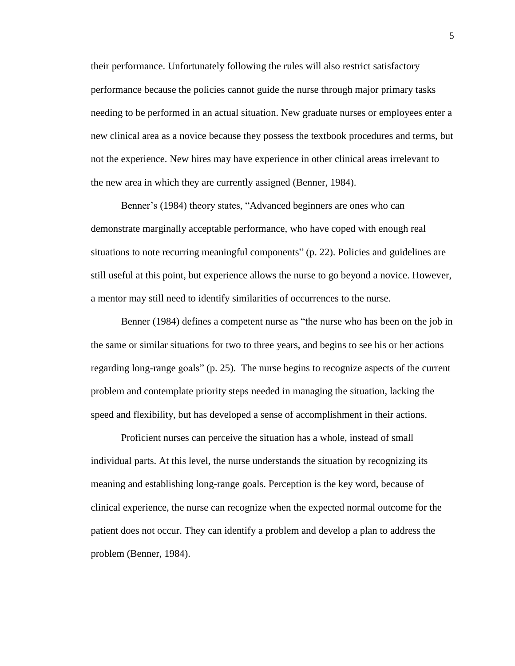their performance. Unfortunately following the rules will also restrict satisfactory performance because the policies cannot guide the nurse through major primary tasks needing to be performed in an actual situation. New graduate nurses or employees enter a new clinical area as a novice because they possess the textbook procedures and terms, but not the experience. New hires may have experience in other clinical areas irrelevant to the new area in which they are currently assigned (Benner, 1984).

Benner's (1984) theory states, "Advanced beginners are ones who can demonstrate marginally acceptable performance, who have coped with enough real situations to note recurring meaningful components" (p. 22). Policies and guidelines are still useful at this point, but experience allows the nurse to go beyond a novice. However, a mentor may still need to identify similarities of occurrences to the nurse.

Benner (1984) defines a competent nurse as "the nurse who has been on the job in the same or similar situations for two to three years, and begins to see his or her actions regarding long-range goals" (p. 25). The nurse begins to recognize aspects of the current problem and contemplate priority steps needed in managing the situation, lacking the speed and flexibility, but has developed a sense of accomplishment in their actions.

Proficient nurses can perceive the situation has a whole, instead of small individual parts. At this level, the nurse understands the situation by recognizing its meaning and establishing long-range goals. Perception is the key word, because of clinical experience, the nurse can recognize when the expected normal outcome for the patient does not occur. They can identify a problem and develop a plan to address the problem (Benner, 1984).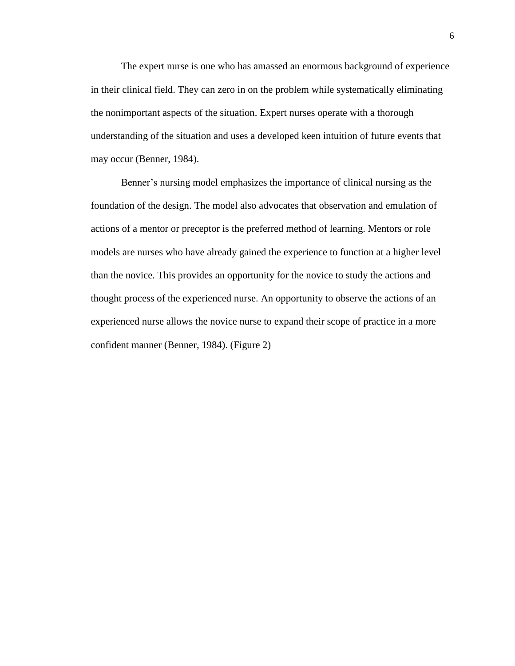The expert nurse is one who has amassed an enormous background of experience in their clinical field. They can zero in on the problem while systematically eliminating the nonimportant aspects of the situation. Expert nurses operate with a thorough understanding of the situation and uses a developed keen intuition of future events that may occur (Benner, 1984).

Benner's nursing model emphasizes the importance of clinical nursing as the foundation of the design. The model also advocates that observation and emulation of actions of a mentor or preceptor is the preferred method of learning. Mentors or role models are nurses who have already gained the experience to function at a higher level than the novice. This provides an opportunity for the novice to study the actions and thought process of the experienced nurse. An opportunity to observe the actions of an experienced nurse allows the novice nurse to expand their scope of practice in a more confident manner (Benner, 1984). (Figure 2)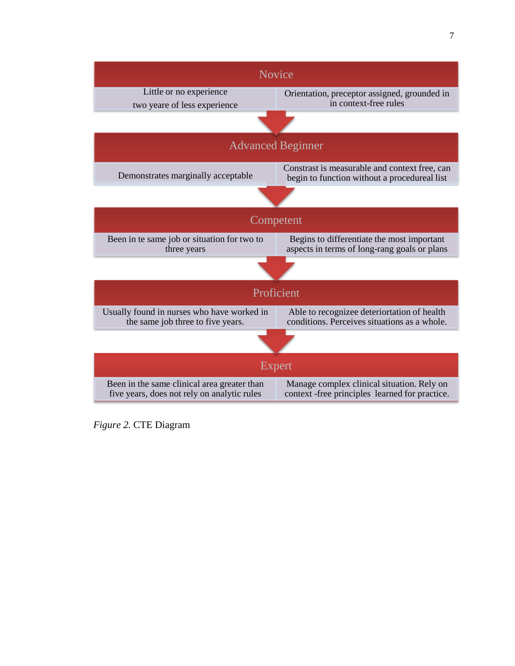

*Figure 2.* CTE Diagram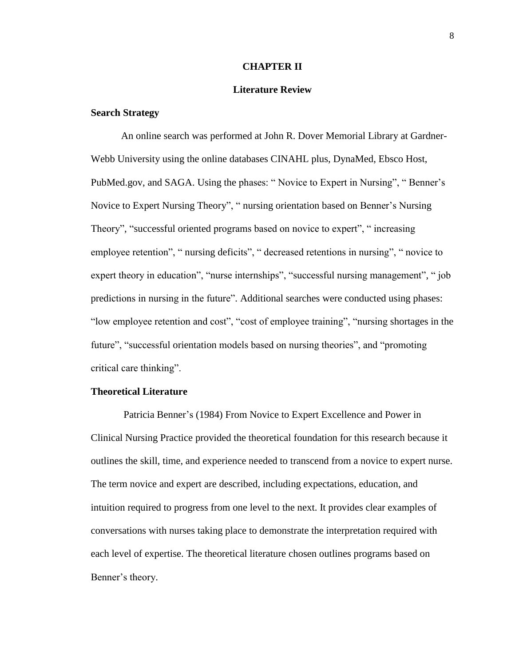#### **CHAPTER II**

## **Literature Review**

#### **Search Strategy**

An online search was performed at John R. Dover Memorial Library at Gardner-Webb University using the online databases CINAHL plus, DynaMed, Ebsco Host, PubMed.gov, and SAGA. Using the phases: " Novice to Expert in Nursing", " Benner's Novice to Expert Nursing Theory", " nursing orientation based on Benner's Nursing Theory", "successful oriented programs based on novice to expert", " increasing employee retention", " nursing deficits", " decreased retentions in nursing", " novice to expert theory in education", "nurse internships", "successful nursing management", " job predictions in nursing in the future". Additional searches were conducted using phases: "low employee retention and cost", "cost of employee training", "nursing shortages in the future", "successful orientation models based on nursing theories", and "promoting critical care thinking".

#### **Theoretical Literature**

Patricia Benner's (1984) From Novice to Expert Excellence and Power in Clinical Nursing Practice provided the theoretical foundation for this research because it outlines the skill, time, and experience needed to transcend from a novice to expert nurse. The term novice and expert are described, including expectations, education, and intuition required to progress from one level to the next. It provides clear examples of conversations with nurses taking place to demonstrate the interpretation required with each level of expertise. The theoretical literature chosen outlines programs based on Benner's theory.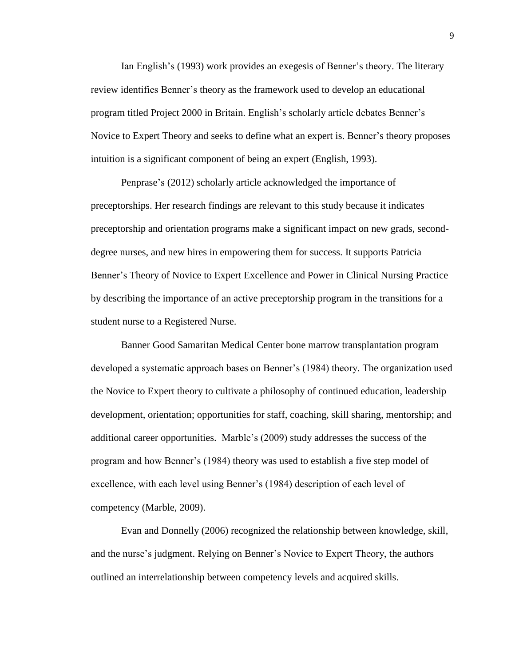Ian English's (1993) work provides an exegesis of Benner's theory. The literary review identifies Benner's theory as the framework used to develop an educational program titled Project 2000 in Britain. English's scholarly article debates Benner's Novice to Expert Theory and seeks to define what an expert is. Benner's theory proposes intuition is a significant component of being an expert (English, 1993).

Penprase's (2012) scholarly article acknowledged the importance of preceptorships. Her research findings are relevant to this study because it indicates preceptorship and orientation programs make a significant impact on new grads, seconddegree nurses, and new hires in empowering them for success. It supports Patricia Benner's Theory of Novice to Expert Excellence and Power in Clinical Nursing Practice by describing the importance of an active preceptorship program in the transitions for a student nurse to a Registered Nurse.

Banner Good Samaritan Medical Center bone marrow transplantation program developed a systematic approach bases on Benner's (1984) theory. The organization used the Novice to Expert theory to cultivate a philosophy of continued education, leadership development, orientation; opportunities for staff, coaching, skill sharing, mentorship; and additional career opportunities. Marble's (2009) study addresses the success of the program and how Benner's (1984) theory was used to establish a five step model of excellence, with each level using Benner's (1984) description of each level of competency (Marble, 2009).

Evan and Donnelly (2006) recognized the relationship between knowledge, skill, and the nurse's judgment. Relying on Benner's Novice to Expert Theory, the authors outlined an interrelationship between competency levels and acquired skills.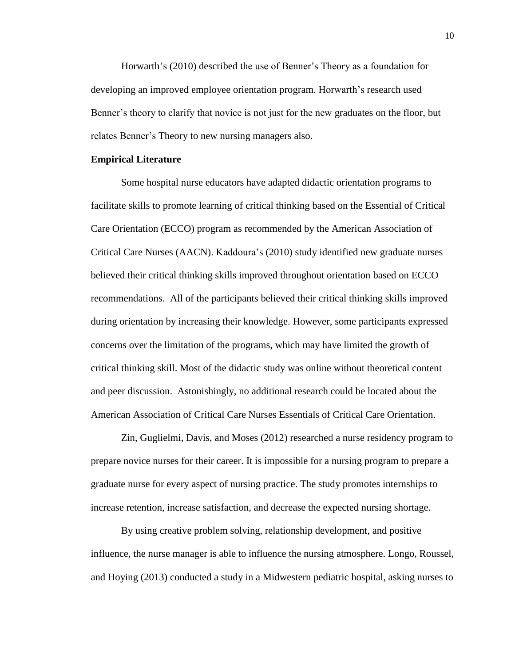Horwarth's (2010) described the use of Benner's Theory as a foundation for developing an improved employee orientation program. Horwarth's research used Benner's theory to clarify that novice is not just for the new graduates on the floor, but relates Benner's Theory to new nursing managers also.

#### **Empirical Literature**

Some hospital nurse educators have adapted didactic orientation programs to facilitate skills to promote learning of critical thinking based on the Essential of Critical Care Orientation (ECCO) program as recommended by the American Association of Critical Care Nurses (AACN). Kaddoura's (2010) study identified new graduate nurses believed their critical thinking skills improved throughout orientation based on ECCO recommendations. All of the participants believed their critical thinking skills improved during orientation by increasing their knowledge. However, some participants expressed concerns over the limitation of the programs, which may have limited the growth of critical thinking skill. Most of the didactic study was online without theoretical content and peer discussion. Astonishingly, no additional research could be located about the American Association of Critical Care Nurses Essentials of Critical Care Orientation.

Zin, Guglielmi, Davis, and Moses (2012) researched a nurse residency program to prepare novice nurses for their career. It is impossible for a nursing program to prepare a graduate nurse for every aspect of nursing practice. The study promotes internships to increase retention, increase satisfaction, and decrease the expected nursing shortage.

By using creative problem solving, relationship development, and positive influence, the nurse manager is able to influence the nursing atmosphere. Longo, Roussel, and Hoying (2013) conducted a study in a Midwestern pediatric hospital, asking nurses to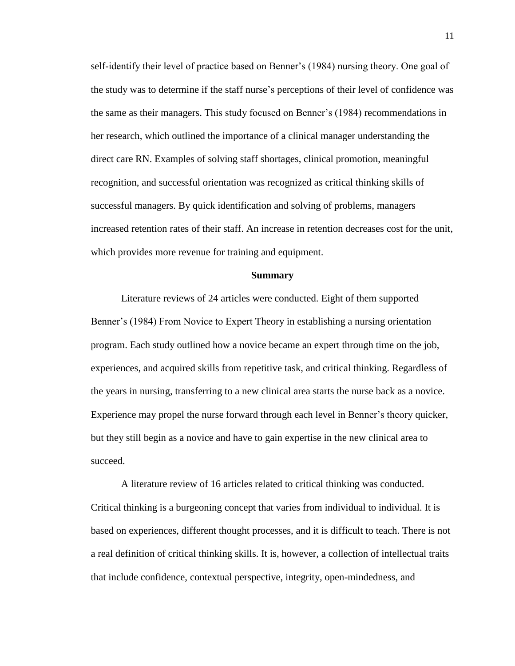self-identify their level of practice based on Benner's (1984) nursing theory. One goal of the study was to determine if the staff nurse's perceptions of their level of confidence was the same as their managers. This study focused on Benner's (1984) recommendations in her research, which outlined the importance of a clinical manager understanding the direct care RN. Examples of solving staff shortages, clinical promotion, meaningful recognition, and successful orientation was recognized as critical thinking skills of successful managers. By quick identification and solving of problems, managers increased retention rates of their staff. An increase in retention decreases cost for the unit, which provides more revenue for training and equipment.

#### **Summary**

Literature reviews of 24 articles were conducted. Eight of them supported Benner's (1984) From Novice to Expert Theory in establishing a nursing orientation program. Each study outlined how a novice became an expert through time on the job, experiences, and acquired skills from repetitive task, and critical thinking. Regardless of the years in nursing, transferring to a new clinical area starts the nurse back as a novice. Experience may propel the nurse forward through each level in Benner's theory quicker, but they still begin as a novice and have to gain expertise in the new clinical area to succeed.

A literature review of 16 articles related to critical thinking was conducted. Critical thinking is a burgeoning concept that varies from individual to individual. It is based on experiences, different thought processes, and it is difficult to teach. There is not a real definition of critical thinking skills. It is, however, a collection of intellectual traits that include confidence, contextual perspective, integrity, open-mindedness, and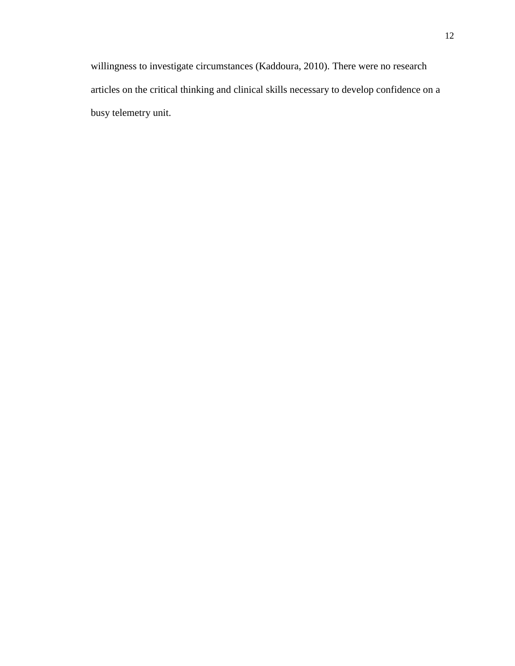willingness to investigate circumstances (Kaddoura, 2010). There were no research articles on the critical thinking and clinical skills necessary to develop confidence on a busy telemetry unit.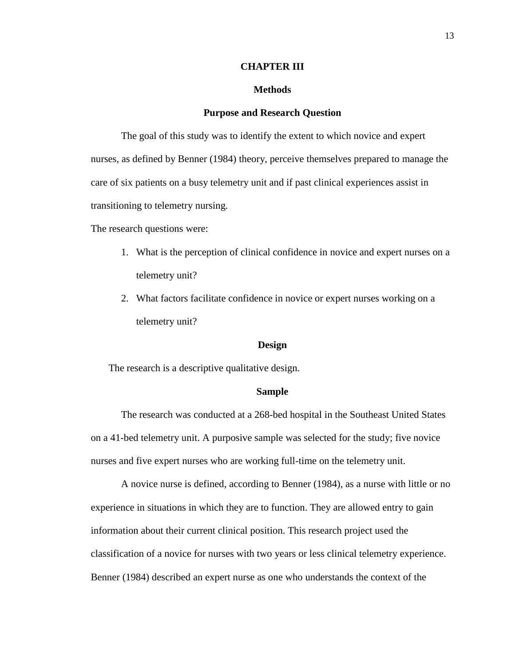#### **CHAPTER III**

#### **Methods**

#### **Purpose and Research Question**

The goal of this study was to identify the extent to which novice and expert nurses, as defined by Benner (1984) theory, perceive themselves prepared to manage the care of six patients on a busy telemetry unit and if past clinical experiences assist in transitioning to telemetry nursing.

The research questions were:

- 1. What is the perception of clinical confidence in novice and expert nurses on a telemetry unit?
- 2. What factors facilitate confidence in novice or expert nurses working on a telemetry unit?

#### **Design**

The research is a descriptive qualitative design.

#### **Sample**

The research was conducted at a 268-bed hospital in the Southeast United States on a 41-bed telemetry unit. A purposive sample was selected for the study; five novice nurses and five expert nurses who are working full-time on the telemetry unit.

A novice nurse is defined, according to Benner (1984), as a nurse with little or no experience in situations in which they are to function. They are allowed entry to gain information about their current clinical position. This research project used the classification of a novice for nurses with two years or less clinical telemetry experience. Benner (1984) described an expert nurse as one who understands the context of the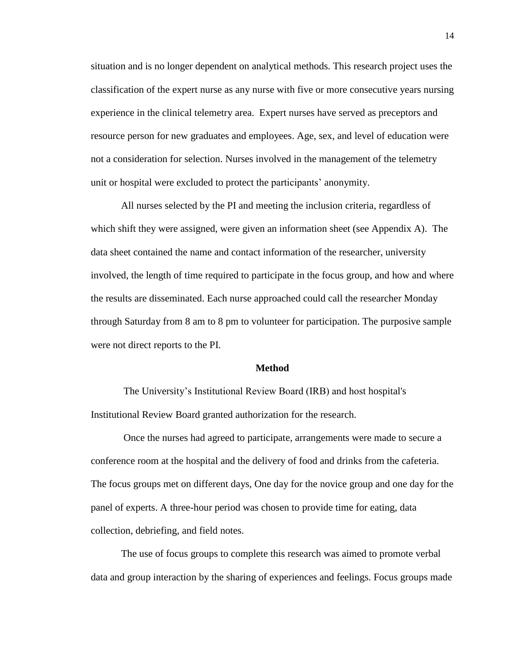situation and is no longer dependent on analytical methods. This research project uses the classification of the expert nurse as any nurse with five or more consecutive years nursing experience in the clinical telemetry area. Expert nurses have served as preceptors and resource person for new graduates and employees. Age, sex, and level of education were not a consideration for selection. Nurses involved in the management of the telemetry unit or hospital were excluded to protect the participants' anonymity.

All nurses selected by the PI and meeting the inclusion criteria, regardless of which shift they were assigned, were given an information sheet (see Appendix A). The data sheet contained the name and contact information of the researcher, university involved, the length of time required to participate in the focus group, and how and where the results are disseminated. Each nurse approached could call the researcher Monday through Saturday from 8 am to 8 pm to volunteer for participation. The purposive sample were not direct reports to the PI.

#### **Method**

The University's Institutional Review Board (IRB) and host hospital's Institutional Review Board granted authorization for the research.

Once the nurses had agreed to participate, arrangements were made to secure a conference room at the hospital and the delivery of food and drinks from the cafeteria. The focus groups met on different days, One day for the novice group and one day for the panel of experts. A three-hour period was chosen to provide time for eating, data collection, debriefing, and field notes.

The use of focus groups to complete this research was aimed to promote verbal data and group interaction by the sharing of experiences and feelings. Focus groups made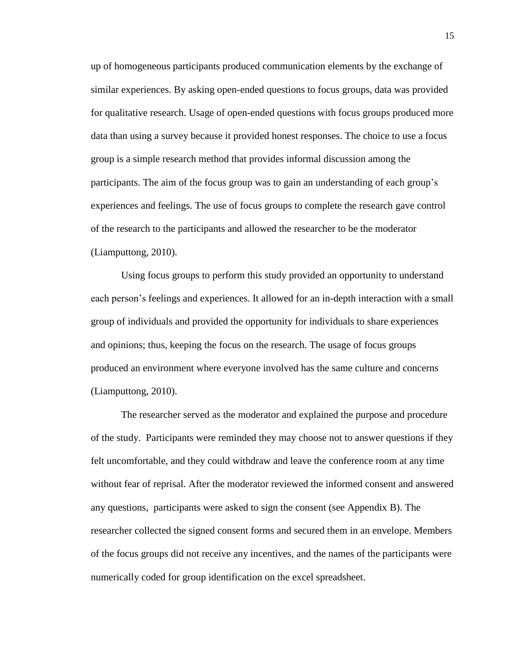up of homogeneous participants produced communication elements by the exchange of similar experiences. By asking open-ended questions to focus groups, data was provided for qualitative research. Usage of open-ended questions with focus groups produced more data than using a survey because it provided honest responses. The choice to use a focus group is a simple research method that provides informal discussion among the participants. The aim of the focus group was to gain an understanding of each group's experiences and feelings. The use of focus groups to complete the research gave control of the research to the participants and allowed the researcher to be the moderator (Liamputtong, 2010).

Using focus groups to perform this study provided an opportunity to understand each person's feelings and experiences. It allowed for an in-depth interaction with a small group of individuals and provided the opportunity for individuals to share experiences and opinions; thus, keeping the focus on the research. The usage of focus groups produced an environment where everyone involved has the same culture and concerns (Liamputtong, 2010).

The researcher served as the moderator and explained the purpose and procedure of the study. Participants were reminded they may choose not to answer questions if they felt uncomfortable, and they could withdraw and leave the conference room at any time without fear of reprisal. After the moderator reviewed the informed consent and answered any questions, participants were asked to sign the consent (see Appendix B). The researcher collected the signed consent forms and secured them in an envelope. Members of the focus groups did not receive any incentives, and the names of the participants were numerically coded for group identification on the excel spreadsheet.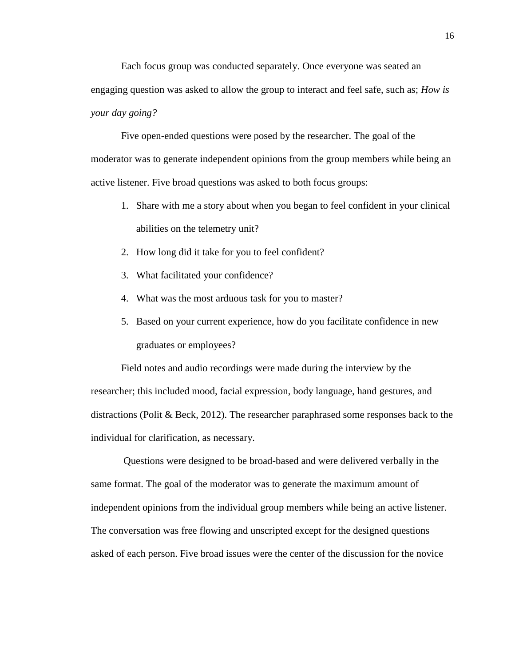Each focus group was conducted separately. Once everyone was seated an engaging question was asked to allow the group to interact and feel safe, such as; *How is your day going?* 

Five open-ended questions were posed by the researcher. The goal of the moderator was to generate independent opinions from the group members while being an active listener. Five broad questions was asked to both focus groups:

- 1. Share with me a story about when you began to feel confident in your clinical abilities on the telemetry unit?
- 2. How long did it take for you to feel confident?
- 3. What facilitated your confidence?
- 4. What was the most arduous task for you to master?
- 5. Based on your current experience, how do you facilitate confidence in new graduates or employees?

Field notes and audio recordings were made during the interview by the researcher; this included mood, facial expression, body language, hand gestures, and distractions (Polit & Beck, 2012). The researcher paraphrased some responses back to the individual for clarification, as necessary.

Questions were designed to be broad-based and were delivered verbally in the same format. The goal of the moderator was to generate the maximum amount of independent opinions from the individual group members while being an active listener. The conversation was free flowing and unscripted except for the designed questions asked of each person. Five broad issues were the center of the discussion for the novice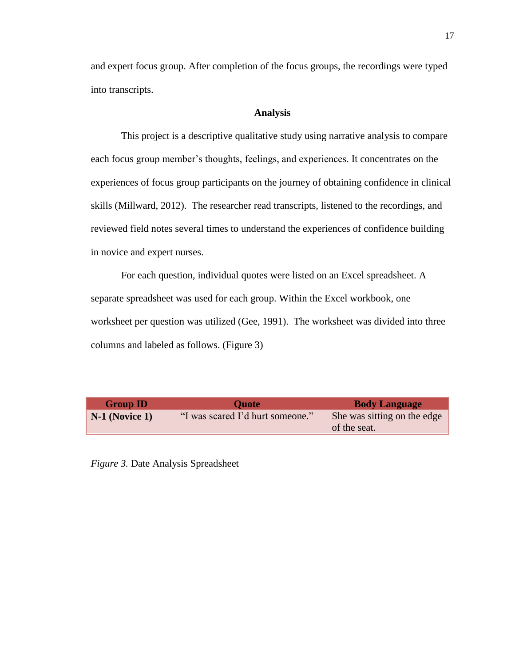and expert focus group. After completion of the focus groups, the recordings were typed into transcripts.

#### **Analysis**

This project is a descriptive qualitative study using narrative analysis to compare each focus group member's thoughts, feelings, and experiences. It concentrates on the experiences of focus group participants on the journey of obtaining confidence in clinical skills (Millward, 2012). The researcher read transcripts, listened to the recordings, and reviewed field notes several times to understand the experiences of confidence building in novice and expert nurses.

For each question, individual quotes were listed on an Excel spreadsheet. A separate spreadsheet was used for each group. Within the Excel workbook, one worksheet per question was utilized (Gee, 1991). The worksheet was divided into three columns and labeled as follows. (Figure 3)

| <b>Group ID</b>  | <b>Ouote</b>                     | <b>Body Language</b>                        |
|------------------|----------------------------------|---------------------------------------------|
| $N-1$ (Novice 1) | "I was scared I'd hurt someone." | She was sitting on the edge<br>of the seat. |

*Figure 3.* Date Analysis Spreadsheet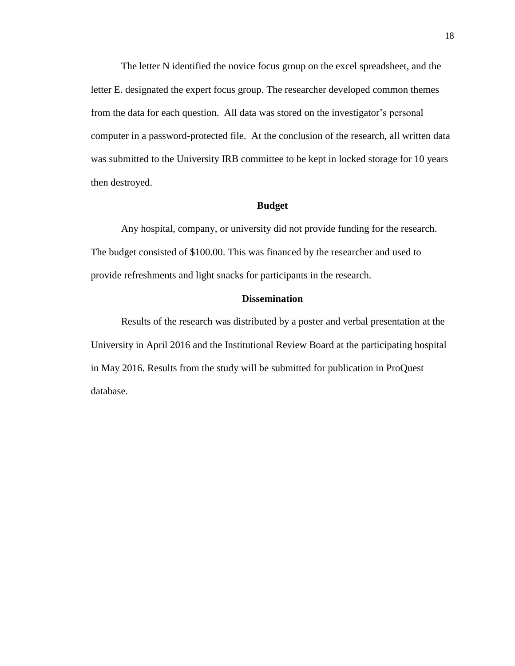The letter N identified the novice focus group on the excel spreadsheet, and the letter E. designated the expert focus group. The researcher developed common themes from the data for each question. All data was stored on the investigator's personal computer in a password-protected file. At the conclusion of the research, all written data was submitted to the University IRB committee to be kept in locked storage for 10 years then destroyed.

#### **Budget**

Any hospital, company, or university did not provide funding for the research. The budget consisted of \$100.00. This was financed by the researcher and used to provide refreshments and light snacks for participants in the research.

#### **Dissemination**

Results of the research was distributed by a poster and verbal presentation at the University in April 2016 and the Institutional Review Board at the participating hospital in May 2016. Results from the study will be submitted for publication in ProQuest database.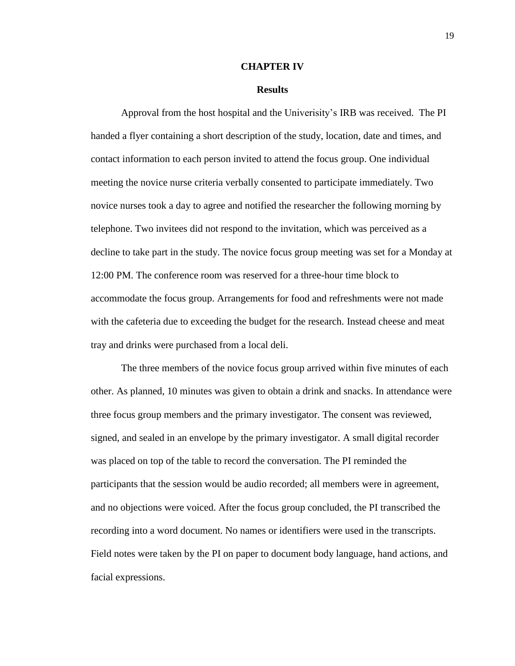#### **CHAPTER IV**

#### **Results**

Approval from the host hospital and the Univerisity's IRB was received. The PI handed a flyer containing a short description of the study, location, date and times, and contact information to each person invited to attend the focus group. One individual meeting the novice nurse criteria verbally consented to participate immediately. Two novice nurses took a day to agree and notified the researcher the following morning by telephone. Two invitees did not respond to the invitation, which was perceived as a decline to take part in the study. The novice focus group meeting was set for a Monday at 12:00 PM. The conference room was reserved for a three-hour time block to accommodate the focus group. Arrangements for food and refreshments were not made with the cafeteria due to exceeding the budget for the research. Instead cheese and meat tray and drinks were purchased from a local deli.

The three members of the novice focus group arrived within five minutes of each other. As planned, 10 minutes was given to obtain a drink and snacks. In attendance were three focus group members and the primary investigator. The consent was reviewed, signed, and sealed in an envelope by the primary investigator. A small digital recorder was placed on top of the table to record the conversation. The PI reminded the participants that the session would be audio recorded; all members were in agreement, and no objections were voiced. After the focus group concluded, the PI transcribed the recording into a word document. No names or identifiers were used in the transcripts. Field notes were taken by the PI on paper to document body language, hand actions, and facial expressions.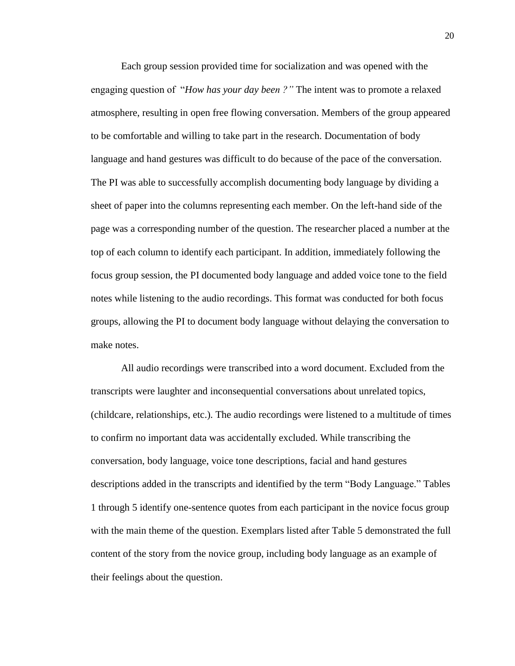Each group session provided time for socialization and was opened with the engaging question of "*How has your day been ?"* The intent was to promote a relaxed atmosphere, resulting in open free flowing conversation. Members of the group appeared to be comfortable and willing to take part in the research. Documentation of body language and hand gestures was difficult to do because of the pace of the conversation. The PI was able to successfully accomplish documenting body language by dividing a sheet of paper into the columns representing each member. On the left-hand side of the page was a corresponding number of the question. The researcher placed a number at the top of each column to identify each participant. In addition, immediately following the focus group session, the PI documented body language and added voice tone to the field notes while listening to the audio recordings. This format was conducted for both focus groups, allowing the PI to document body language without delaying the conversation to make notes.

All audio recordings were transcribed into a word document. Excluded from the transcripts were laughter and inconsequential conversations about unrelated topics, (childcare, relationships, etc.). The audio recordings were listened to a multitude of times to confirm no important data was accidentally excluded. While transcribing the conversation, body language, voice tone descriptions, facial and hand gestures descriptions added in the transcripts and identified by the term "Body Language." Tables 1 through 5 identify one-sentence quotes from each participant in the novice focus group with the main theme of the question. Exemplars listed after Table 5 demonstrated the full content of the story from the novice group, including body language as an example of their feelings about the question.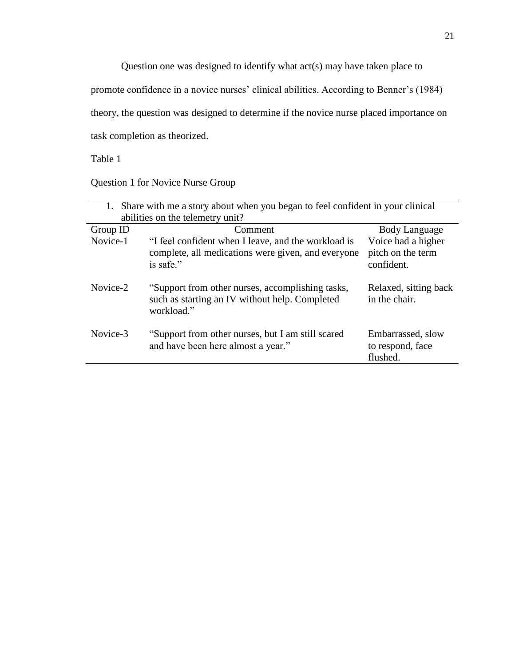Question one was designed to identify what act(s) may have taken place to promote confidence in a novice nurses' clinical abilities. According to Benner's (1984) theory, the question was designed to determine if the novice nurse placed importance on

task completion as theorized.

Table 1

Question 1 for Novice Nurse Group

| 1. Share with me a story about when you began to feel confident in your clinical |                                                     |                       |
|----------------------------------------------------------------------------------|-----------------------------------------------------|-----------------------|
|                                                                                  | abilities on the telemetry unit?                    |                       |
| Group ID                                                                         | Comment                                             | Body Language         |
| Novice-1                                                                         | "I feel confident when I leave, and the workload is | Voice had a higher    |
|                                                                                  | complete, all medications were given, and everyone  | pitch on the term     |
|                                                                                  | is safe."                                           | confident.            |
|                                                                                  |                                                     |                       |
| Novice-2                                                                         | "Support from other nurses, accomplishing tasks,    | Relaxed, sitting back |
|                                                                                  | such as starting an IV without help. Completed      | in the chair.         |
|                                                                                  | workload."                                          |                       |
|                                                                                  |                                                     |                       |
| Novice-3                                                                         | "Support from other nurses, but I am still scared   | Embarrassed, slow     |
|                                                                                  | and have been here almost a year."                  | to respond, face      |
|                                                                                  |                                                     | flushed.              |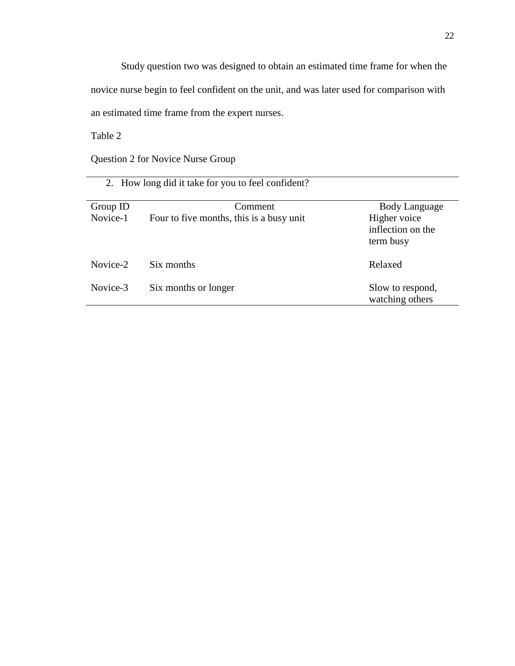Study question two was designed to obtain an estimated time frame for when the novice nurse begin to feel confident on the unit, and was later used for comparison with an estimated time frame from the expert nurses.

Table 2

Question 2 for Novice Nurse Group

|          | 2. How long did it take for you to feel confident? |                                                |
|----------|----------------------------------------------------|------------------------------------------------|
| Group ID | Comment                                            | <b>Body Language</b>                           |
| Novice-1 | Four to five months, this is a busy unit           | Higher voice<br>inflection on the<br>term busy |
| Novice-2 | Six months                                         | Relaxed                                        |
| Novice-3 | Six months or longer                               | Slow to respond,<br>watching others            |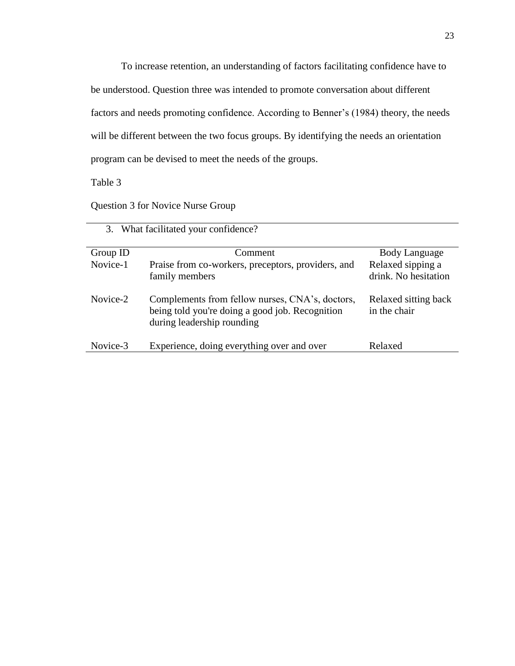To increase retention, an understanding of factors facilitating confidence have to be understood. Question three was intended to promote conversation about different factors and needs promoting confidence. According to Benner's (1984) theory, the needs will be different between the two focus groups. By identifying the needs an orientation program can be devised to meet the needs of the groups.

Table 3

Question 3 for Novice Nurse Group

| 3.       | What facilitated your confidence?                                                                                                |                                           |
|----------|----------------------------------------------------------------------------------------------------------------------------------|-------------------------------------------|
| Group ID | Comment                                                                                                                          | Body Language                             |
| Novice-1 | Praise from co-workers, preceptors, providers, and<br>family members                                                             | Relaxed sipping a<br>drink. No hesitation |
| Novice-2 | Complements from fellow nurses, CNA's, doctors,<br>being told you're doing a good job. Recognition<br>during leadership rounding | Relaxed sitting back<br>in the chair      |
| Novice-3 | Experience, doing everything over and over                                                                                       | Relaxed                                   |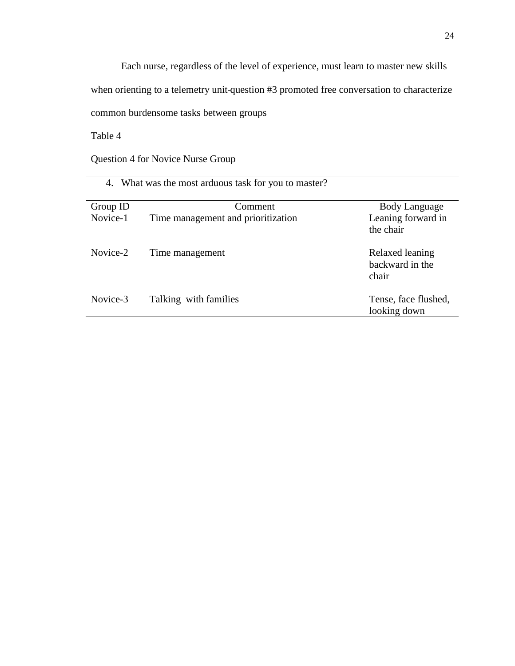Each nurse, regardless of the level of experience, must learn to master new skills when orienting to a telemetry unit question #3 promoted free conversation to characterize common burdensome tasks between groups

Table 4

Question 4 for Novice Nurse Group

|          | 4. What was the most arduous task for you to master? |                                             |
|----------|------------------------------------------------------|---------------------------------------------|
| Group ID | Comment                                              | Body Language                               |
| Novice-1 | Time management and prioritization                   | Leaning forward in<br>the chair             |
| Novice-2 | Time management                                      | Relaxed leaning<br>backward in the<br>chair |
| Novice-3 | Talking with families                                | Tense, face flushed,<br>looking down        |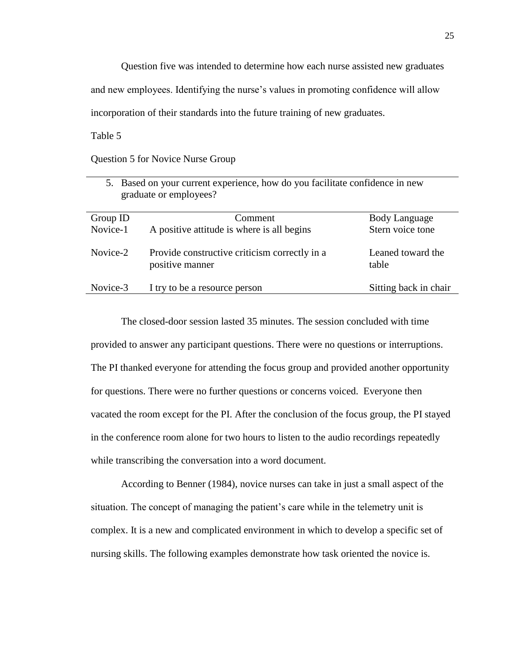Question five was intended to determine how each nurse assisted new graduates

and new employees. Identifying the nurse's values in promoting confidence will allow

incorporation of their standards into the future training of new graduates.

Table 5

Question 5 for Novice Nurse Group

| 5. Based on your current experience, how do you facilitate confidence in new<br>graduate or employees? |                                                                  |                            |
|--------------------------------------------------------------------------------------------------------|------------------------------------------------------------------|----------------------------|
| Group ID                                                                                               | Comment                                                          | <b>Body Language</b>       |
| Novice-1                                                                                               | A positive attitude is where is all begins                       | Stern voice tone           |
| Novice-2                                                                                               | Provide constructive criticism correctly in a<br>positive manner | Leaned toward the<br>table |
| Novice-3                                                                                               | I try to be a resource person                                    | Sitting back in chair      |

The closed-door session lasted 35 minutes. The session concluded with time provided to answer any participant questions. There were no questions or interruptions. The PI thanked everyone for attending the focus group and provided another opportunity for questions. There were no further questions or concerns voiced. Everyone then vacated the room except for the PI. After the conclusion of the focus group, the PI stayed in the conference room alone for two hours to listen to the audio recordings repeatedly while transcribing the conversation into a word document.

According to Benner (1984), novice nurses can take in just a small aspect of the situation. The concept of managing the patient's care while in the telemetry unit is complex. It is a new and complicated environment in which to develop a specific set of nursing skills. The following examples demonstrate how task oriented the novice is.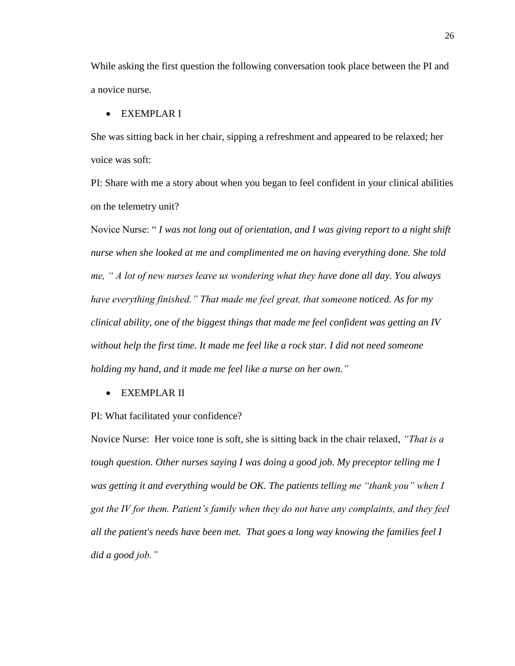While asking the first question the following conversation took place between the PI and a novice nurse.

#### EXEMPLAR I

She was sitting back in her chair, sipping a refreshment and appeared to be relaxed; her voice was soft:

PI: Share with me a story about when you began to feel confident in your clinical abilities on the telemetry unit?

Novice Nurse: " *I was not long out of orientation, and I was giving report to a night shift nurse when she looked at me and complimented me on having everything done. She told me, " A lot of new nurses leave us wondering what they have done all day. You always have everything finished." That made me feel great, that someone noticed. As for my clinical ability, one of the biggest things that made me feel confident was getting an IV without help the first time. It made me feel like a rock star. I did not need someone holding my hand, and it made me feel like a nurse on her own."*

EXEMPLAR II

PI: What facilitated your confidence?

Novice Nurse: Her voice tone is soft, she is sitting back in the chair relaxed, *"That is a tough question. Other nurses saying I was doing a good job. My preceptor telling me I was getting it and everything would be OK. The patients telling me "thank you" when I got the IV for them. Patient's family when they do not have any complaints, and they feel all the patient's needs have been met. That goes a long way knowing the families feel I did a good job."*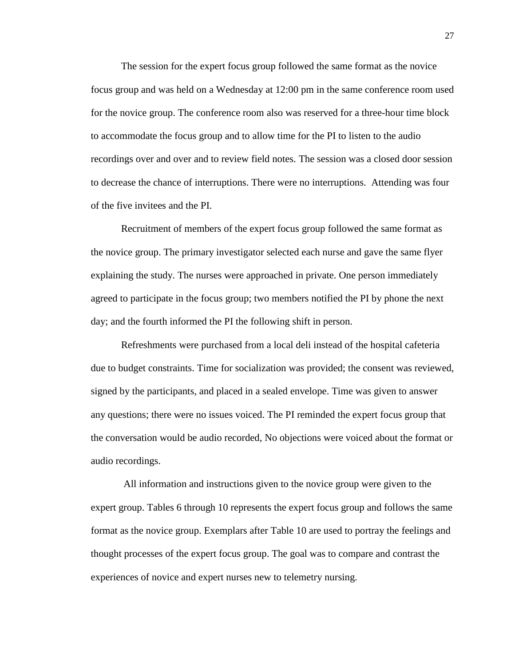The session for the expert focus group followed the same format as the novice focus group and was held on a Wednesday at 12:00 pm in the same conference room used for the novice group. The conference room also was reserved for a three-hour time block to accommodate the focus group and to allow time for the PI to listen to the audio recordings over and over and to review field notes. The session was a closed door session to decrease the chance of interruptions. There were no interruptions. Attending was four of the five invitees and the PI.

Recruitment of members of the expert focus group followed the same format as the novice group. The primary investigator selected each nurse and gave the same flyer explaining the study. The nurses were approached in private. One person immediately agreed to participate in the focus group; two members notified the PI by phone the next day; and the fourth informed the PI the following shift in person.

Refreshments were purchased from a local deli instead of the hospital cafeteria due to budget constraints. Time for socialization was provided; the consent was reviewed, signed by the participants, and placed in a sealed envelope. Time was given to answer any questions; there were no issues voiced. The PI reminded the expert focus group that the conversation would be audio recorded, No objections were voiced about the format or audio recordings.

All information and instructions given to the novice group were given to the expert group. Tables 6 through 10 represents the expert focus group and follows the same format as the novice group. Exemplars after Table 10 are used to portray the feelings and thought processes of the expert focus group. The goal was to compare and contrast the experiences of novice and expert nurses new to telemetry nursing.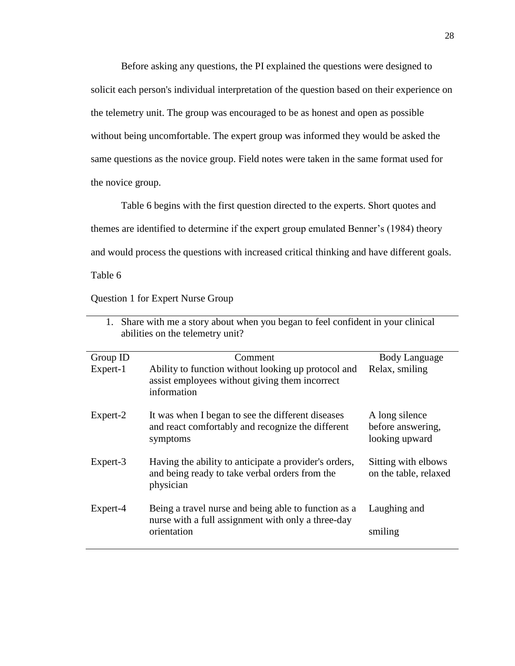Before asking any questions, the PI explained the questions were designed to solicit each person's individual interpretation of the question based on their experience on the telemetry unit. The group was encouraged to be as honest and open as possible without being uncomfortable. The expert group was informed they would be asked the same questions as the novice group. Field notes were taken in the same format used for the novice group.

Table 6 begins with the first question directed to the experts. Short quotes and themes are identified to determine if the expert group emulated Benner's (1984) theory and would process the questions with increased critical thinking and have different goals.

Table 6

Question 1 for Expert Nurse Group

| 1. Share with the a story about when you began to rect confident in your chilical<br>abilities on the telemetry unit? |                                                                                                                           |                                                       |
|-----------------------------------------------------------------------------------------------------------------------|---------------------------------------------------------------------------------------------------------------------------|-------------------------------------------------------|
| Group ID                                                                                                              | Comment                                                                                                                   | Body Language                                         |
| Expert-1                                                                                                              | Ability to function without looking up protocol and<br>assist employees without giving them incorrect<br>information      | Relax, smiling                                        |
| Expert-2                                                                                                              | It was when I began to see the different diseases<br>and react comfortably and recognize the different<br>symptoms        | A long silence<br>before answering,<br>looking upward |
| Expert-3                                                                                                              | Having the ability to anticipate a provider's orders,<br>and being ready to take verbal orders from the<br>physician      | Sitting with elbows<br>on the table, relaxed          |
| Expert-4                                                                                                              | Being a travel nurse and being able to function as a<br>nurse with a full assignment with only a three-day<br>orientation | Laughing and<br>smiling                               |

| 1. Share with me a story about when you began to feel confident in your clinical |
|----------------------------------------------------------------------------------|
| abilities on the telemetry unit?                                                 |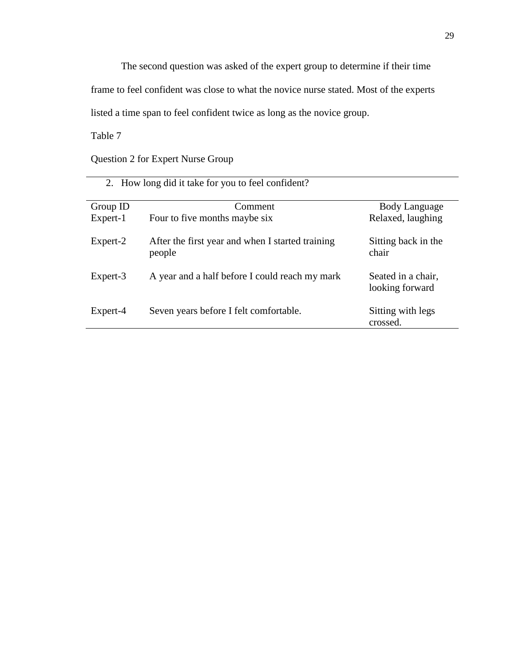The second question was asked of the expert group to determine if their time

frame to feel confident was close to what the novice nurse stated. Most of the experts

listed a time span to feel confident twice as long as the novice group.

Table 7

Question 2 for Expert Nurse Group

| 2. How long did it take for you to feel confident? |                                                            |                                       |  |  |
|----------------------------------------------------|------------------------------------------------------------|---------------------------------------|--|--|
| Group ID                                           | Comment                                                    | Body Language                         |  |  |
| Expert-1                                           | Four to five months maybe six                              | Relaxed, laughing                     |  |  |
| Expert-2                                           | After the first year and when I started training<br>people | Sitting back in the<br>chair          |  |  |
| Expert-3                                           | A year and a half before I could reach my mark             | Seated in a chair,<br>looking forward |  |  |
| Expert-4                                           | Seven years before I felt comfortable.                     | Sitting with legs<br>crossed.         |  |  |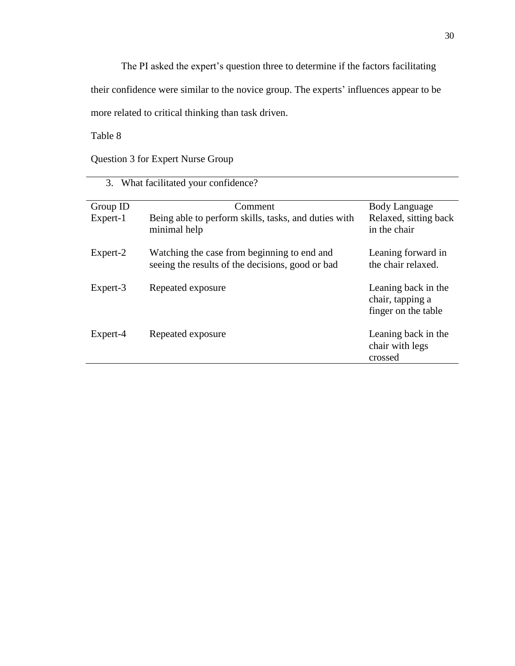The PI asked the expert's question three to determine if the factors facilitating

their confidence were similar to the novice group. The experts' influences appear to be

more related to critical thinking than task driven.

Table 8

Question 3 for Expert Nurse Group

| 3. What facilitated your confidence? |                                                                                                 |                                                                |  |  |
|--------------------------------------|-------------------------------------------------------------------------------------------------|----------------------------------------------------------------|--|--|
| Group ID                             | Comment                                                                                         | <b>Body Language</b>                                           |  |  |
| Expert-1                             | Being able to perform skills, tasks, and duties with<br>minimal help                            | Relaxed, sitting back<br>in the chair                          |  |  |
| Expert-2                             | Watching the case from beginning to end and<br>seeing the results of the decisions, good or bad | Leaning forward in<br>the chair relaxed.                       |  |  |
| Expert-3                             | Repeated exposure                                                                               | Leaning back in the<br>chair, tapping a<br>finger on the table |  |  |
| Expert-4                             | Repeated exposure                                                                               | Leaning back in the<br>chair with legs<br>crossed              |  |  |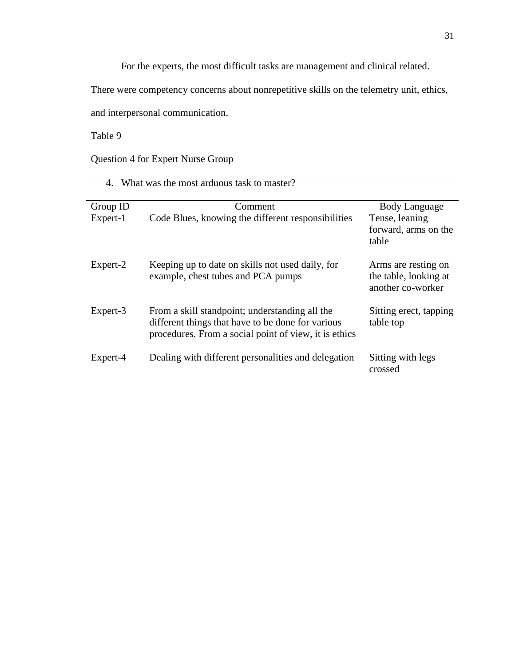For the experts, the most difficult tasks are management and clinical related.

There were competency concerns about nonrepetitive skills on the telemetry unit, ethics,

and interpersonal communication.

Table 9

Question 4 for Expert Nurse Group

| 4. What was the most arduous task to master? |                                                                                                                                                              |                                                                         |  |  |
|----------------------------------------------|--------------------------------------------------------------------------------------------------------------------------------------------------------------|-------------------------------------------------------------------------|--|--|
| Group ID<br>Expert-1                         | Comment<br>Code Blues, knowing the different responsibilities                                                                                                | <b>Body Language</b><br>Tense, leaning<br>forward, arms on the<br>table |  |  |
| Expert-2                                     | Keeping up to date on skills not used daily, for<br>example, chest tubes and PCA pumps                                                                       | Arms are resting on<br>the table, looking at<br>another co-worker       |  |  |
| Expert-3                                     | From a skill standpoint; understanding all the<br>different things that have to be done for various<br>procedures. From a social point of view, it is ethics | Sitting erect, tapping<br>table top                                     |  |  |
| Expert-4                                     | Dealing with different personalities and delegation                                                                                                          | Sitting with legs<br>crossed                                            |  |  |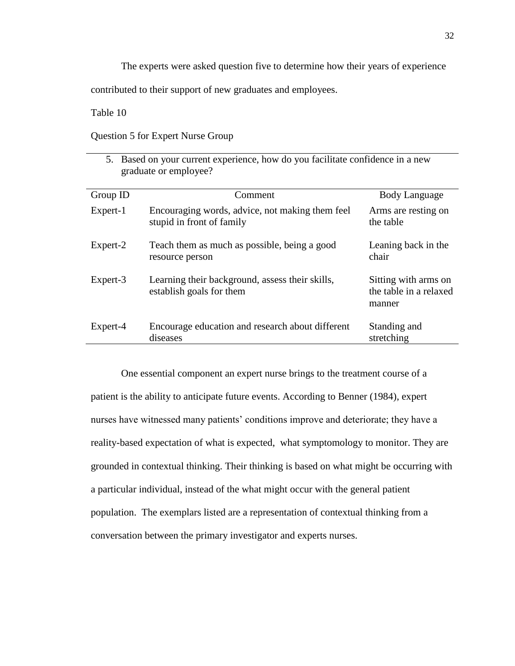The experts were asked question five to determine how their years of experience

contributed to their support of new graduates and employees.

Table 10

Question 5 for Expert Nurse Group

| 5. Based on your current experience, how do you facilitate confidence in a new<br>graduate or employee? |                                                                              |                                                          |  |  |
|---------------------------------------------------------------------------------------------------------|------------------------------------------------------------------------------|----------------------------------------------------------|--|--|
| Group ID                                                                                                | Comment                                                                      | Body Language                                            |  |  |
| Expert-1                                                                                                | Encouraging words, advice, not making them feel<br>stupid in front of family | Arms are resting on<br>the table                         |  |  |
| Expert-2                                                                                                | Teach them as much as possible, being a good<br>resource person              | Leaning back in the<br>chair                             |  |  |
| Expert-3                                                                                                | Learning their background, assess their skills,<br>establish goals for them  | Sitting with arms on<br>the table in a relaxed<br>manner |  |  |
| Expert-4                                                                                                | Encourage education and research about different<br>diseases                 | Standing and<br>stretching                               |  |  |

One essential component an expert nurse brings to the treatment course of a patient is the ability to anticipate future events. According to Benner (1984), expert nurses have witnessed many patients' conditions improve and deteriorate; they have a reality-based expectation of what is expected, what symptomology to monitor. They are grounded in contextual thinking. Their thinking is based on what might be occurring with a particular individual, instead of the what might occur with the general patient population. The exemplars listed are a representation of contextual thinking from a conversation between the primary investigator and experts nurses.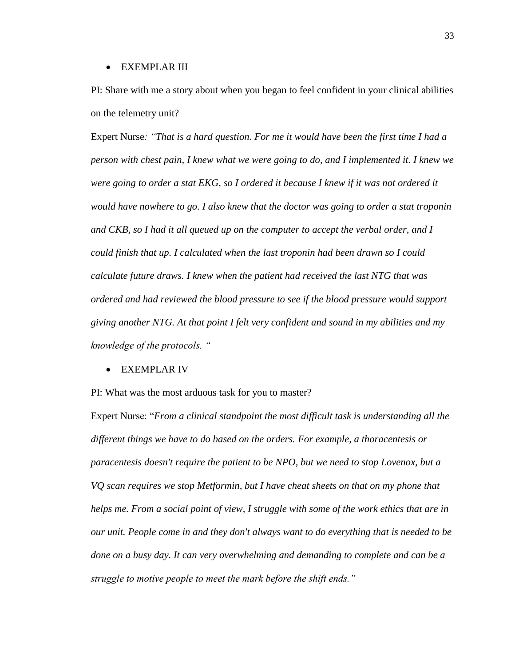#### EXEMPLAR III

PI: Share with me a story about when you began to feel confident in your clinical abilities on the telemetry unit?

Expert Nurse*: "That is a hard question. For me it would have been the first time I had a person with chest pain, I knew what we were going to do, and I implemented it. I knew we were going to order a stat EKG, so I ordered it because I knew if it was not ordered it would have nowhere to go. I also knew that the doctor was going to order a stat troponin and CKB, so I had it all queued up on the computer to accept the verbal order, and I could finish that up. I calculated when the last troponin had been drawn so I could calculate future draws. I knew when the patient had received the last NTG that was ordered and had reviewed the blood pressure to see if the blood pressure would support giving another NTG. At that point I felt very confident and sound in my abilities and my knowledge of the protocols. "*

EXEMPLAR IV

PI: What was the most arduous task for you to master?

Expert Nurse: "*From a clinical standpoint the most difficult task is understanding all the different things we have to do based on the orders. For example, a thoracentesis or paracentesis doesn't require the patient to be NPO, but we need to stop Lovenox, but a VQ scan requires we stop Metformin, but I have cheat sheets on that on my phone that helps me. From a social point of view, I struggle with some of the work ethics that are in our unit. People come in and they don't always want to do everything that is needed to be done on a busy day. It can very overwhelming and demanding to complete and can be a struggle to motive people to meet the mark before the shift ends."*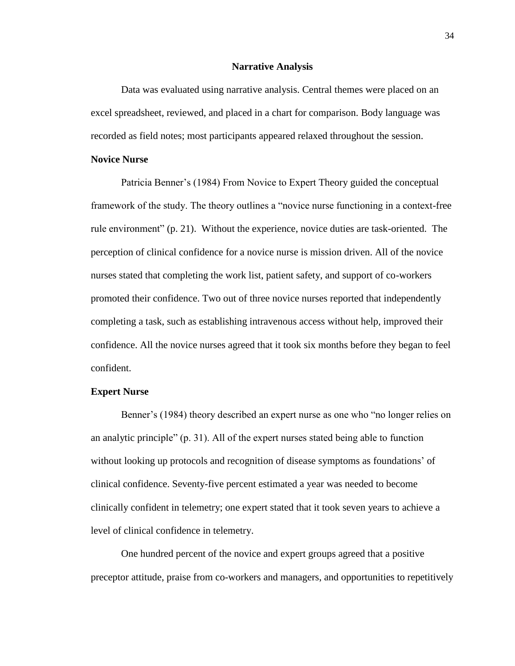#### **Narrative Analysis**

Data was evaluated using narrative analysis. Central themes were placed on an excel spreadsheet, reviewed, and placed in a chart for comparison. Body language was recorded as field notes; most participants appeared relaxed throughout the session.

#### **Novice Nurse**

Patricia Benner's (1984) From Novice to Expert Theory guided the conceptual framework of the study. The theory outlines a "novice nurse functioning in a context-free rule environment" (p. 21). Without the experience, novice duties are task-oriented. The perception of clinical confidence for a novice nurse is mission driven. All of the novice nurses stated that completing the work list, patient safety, and support of co-workers promoted their confidence. Two out of three novice nurses reported that independently completing a task, such as establishing intravenous access without help, improved their confidence. All the novice nurses agreed that it took six months before they began to feel confident.

#### **Expert Nurse**

Benner's (1984) theory described an expert nurse as one who "no longer relies on an analytic principle" (p. 31). All of the expert nurses stated being able to function without looking up protocols and recognition of disease symptoms as foundations' of clinical confidence. Seventy-five percent estimated a year was needed to become clinically confident in telemetry; one expert stated that it took seven years to achieve a level of clinical confidence in telemetry.

One hundred percent of the novice and expert groups agreed that a positive preceptor attitude, praise from co-workers and managers, and opportunities to repetitively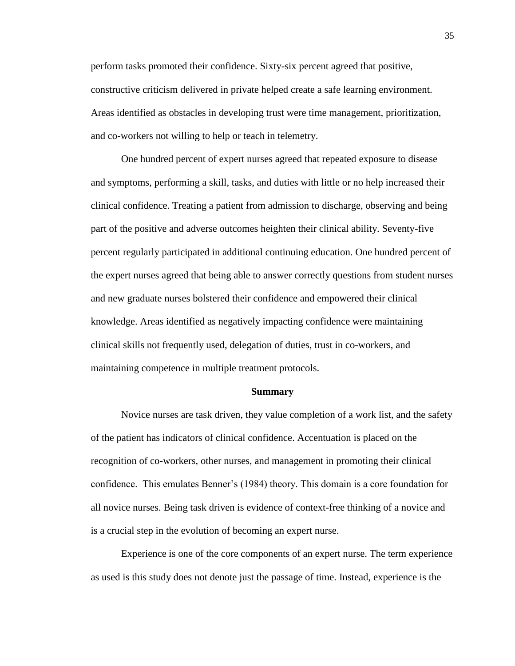perform tasks promoted their confidence. Sixty-six percent agreed that positive, constructive criticism delivered in private helped create a safe learning environment. Areas identified as obstacles in developing trust were time management, prioritization, and co-workers not willing to help or teach in telemetry.

One hundred percent of expert nurses agreed that repeated exposure to disease and symptoms, performing a skill, tasks, and duties with little or no help increased their clinical confidence. Treating a patient from admission to discharge, observing and being part of the positive and adverse outcomes heighten their clinical ability. Seventy-five percent regularly participated in additional continuing education. One hundred percent of the expert nurses agreed that being able to answer correctly questions from student nurses and new graduate nurses bolstered their confidence and empowered their clinical knowledge. Areas identified as negatively impacting confidence were maintaining clinical skills not frequently used, delegation of duties, trust in co-workers, and maintaining competence in multiple treatment protocols.

#### **Summary**

Novice nurses are task driven, they value completion of a work list, and the safety of the patient has indicators of clinical confidence. Accentuation is placed on the recognition of co-workers, other nurses, and management in promoting their clinical confidence. This emulates Benner's (1984) theory. This domain is a core foundation for all novice nurses. Being task driven is evidence of context-free thinking of a novice and is a crucial step in the evolution of becoming an expert nurse.

Experience is one of the core components of an expert nurse. The term experience as used is this study does not denote just the passage of time. Instead, experience is the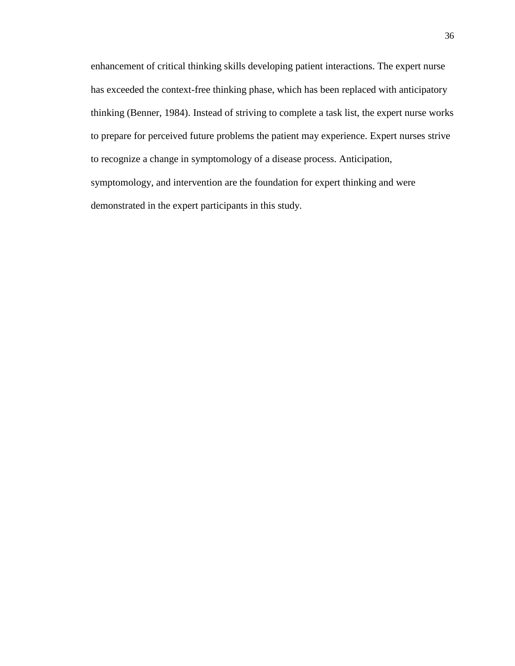enhancement of critical thinking skills developing patient interactions. The expert nurse has exceeded the context-free thinking phase, which has been replaced with anticipatory thinking (Benner, 1984). Instead of striving to complete a task list, the expert nurse works to prepare for perceived future problems the patient may experience. Expert nurses strive to recognize a change in symptomology of a disease process. Anticipation, symptomology, and intervention are the foundation for expert thinking and were demonstrated in the expert participants in this study.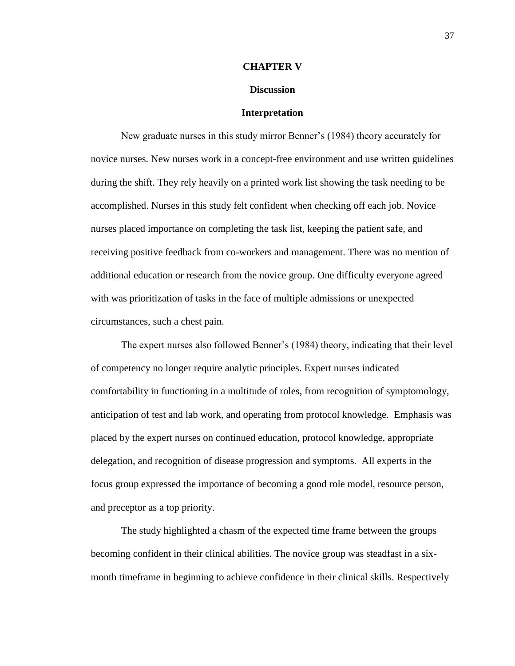#### **CHAPTER V**

#### **Discussion**

#### **Interpretation**

New graduate nurses in this study mirror Benner's (1984) theory accurately for novice nurses. New nurses work in a concept-free environment and use written guidelines during the shift. They rely heavily on a printed work list showing the task needing to be accomplished. Nurses in this study felt confident when checking off each job. Novice nurses placed importance on completing the task list, keeping the patient safe, and receiving positive feedback from co-workers and management. There was no mention of additional education or research from the novice group. One difficulty everyone agreed with was prioritization of tasks in the face of multiple admissions or unexpected circumstances, such a chest pain.

The expert nurses also followed Benner's (1984) theory, indicating that their level of competency no longer require analytic principles. Expert nurses indicated comfortability in functioning in a multitude of roles, from recognition of symptomology, anticipation of test and lab work, and operating from protocol knowledge. Emphasis was placed by the expert nurses on continued education, protocol knowledge, appropriate delegation, and recognition of disease progression and symptoms. All experts in the focus group expressed the importance of becoming a good role model, resource person, and preceptor as a top priority.

The study highlighted a chasm of the expected time frame between the groups becoming confident in their clinical abilities. The novice group was steadfast in a sixmonth timeframe in beginning to achieve confidence in their clinical skills. Respectively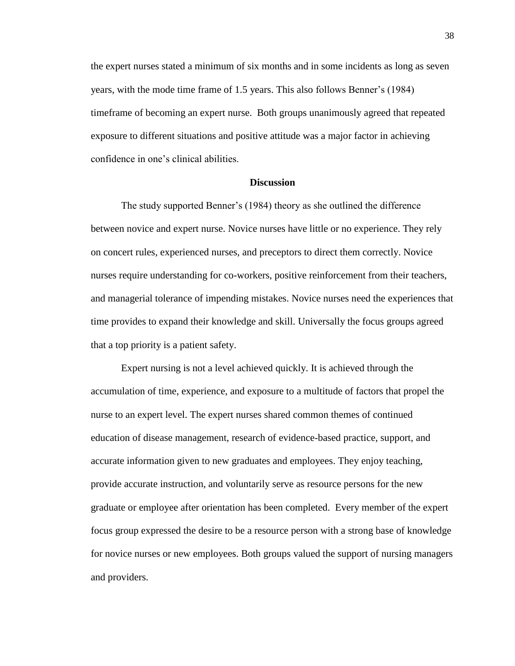the expert nurses stated a minimum of six months and in some incidents as long as seven years, with the mode time frame of 1.5 years. This also follows Benner's (1984) timeframe of becoming an expert nurse. Both groups unanimously agreed that repeated exposure to different situations and positive attitude was a major factor in achieving confidence in one's clinical abilities.

#### **Discussion**

The study supported Benner's (1984) theory as she outlined the difference between novice and expert nurse. Novice nurses have little or no experience. They rely on concert rules, experienced nurses, and preceptors to direct them correctly. Novice nurses require understanding for co-workers, positive reinforcement from their teachers, and managerial tolerance of impending mistakes. Novice nurses need the experiences that time provides to expand their knowledge and skill. Universally the focus groups agreed that a top priority is a patient safety.

Expert nursing is not a level achieved quickly. It is achieved through the accumulation of time, experience, and exposure to a multitude of factors that propel the nurse to an expert level. The expert nurses shared common themes of continued education of disease management, research of evidence-based practice, support, and accurate information given to new graduates and employees. They enjoy teaching, provide accurate instruction, and voluntarily serve as resource persons for the new graduate or employee after orientation has been completed. Every member of the expert focus group expressed the desire to be a resource person with a strong base of knowledge for novice nurses or new employees. Both groups valued the support of nursing managers and providers.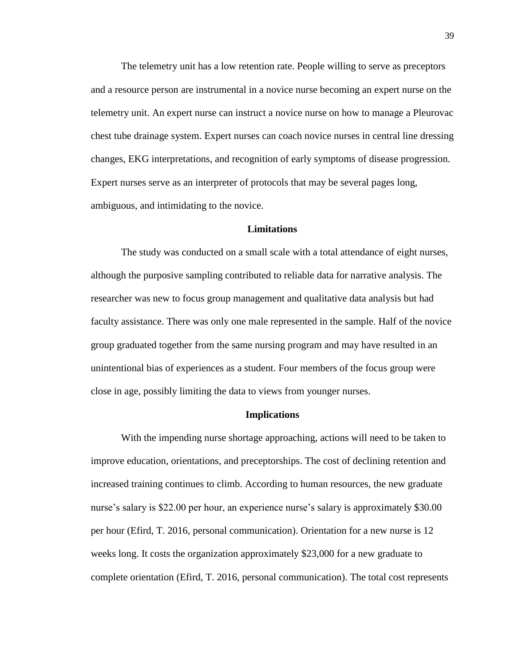The telemetry unit has a low retention rate. People willing to serve as preceptors and a resource person are instrumental in a novice nurse becoming an expert nurse on the telemetry unit. An expert nurse can instruct a novice nurse on how to manage a Pleurovac chest tube drainage system. Expert nurses can coach novice nurses in central line dressing changes, EKG interpretations, and recognition of early symptoms of disease progression. Expert nurses serve as an interpreter of protocols that may be several pages long, ambiguous, and intimidating to the novice.

#### **Limitations**

The study was conducted on a small scale with a total attendance of eight nurses, although the purposive sampling contributed to reliable data for narrative analysis. The researcher was new to focus group management and qualitative data analysis but had faculty assistance. There was only one male represented in the sample. Half of the novice group graduated together from the same nursing program and may have resulted in an unintentional bias of experiences as a student. Four members of the focus group were close in age, possibly limiting the data to views from younger nurses.

#### **Implications**

With the impending nurse shortage approaching, actions will need to be taken to improve education, orientations, and preceptorships. The cost of declining retention and increased training continues to climb. According to human resources, the new graduate nurse's salary is \$22.00 per hour, an experience nurse's salary is approximately \$30.00 per hour (Efird, T. 2016, personal communication). Orientation for a new nurse is 12 weeks long. It costs the organization approximately \$23,000 for a new graduate to complete orientation (Efird, T. 2016, personal communication). The total cost represents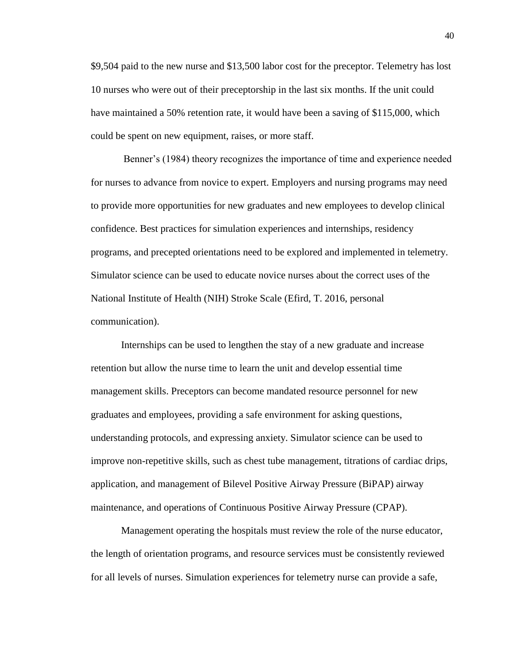\$9,504 paid to the new nurse and \$13,500 labor cost for the preceptor. Telemetry has lost 10 nurses who were out of their preceptorship in the last six months. If the unit could have maintained a 50% retention rate, it would have been a saving of \$115,000, which could be spent on new equipment, raises, or more staff.

Benner's (1984) theory recognizes the importance of time and experience needed for nurses to advance from novice to expert. Employers and nursing programs may need to provide more opportunities for new graduates and new employees to develop clinical confidence. Best practices for simulation experiences and internships, residency programs, and precepted orientations need to be explored and implemented in telemetry. Simulator science can be used to educate novice nurses about the correct uses of the National Institute of Health (NIH) Stroke Scale (Efird, T. 2016, personal communication).

Internships can be used to lengthen the stay of a new graduate and increase retention but allow the nurse time to learn the unit and develop essential time management skills. Preceptors can become mandated resource personnel for new graduates and employees, providing a safe environment for asking questions, understanding protocols, and expressing anxiety. Simulator science can be used to improve non-repetitive skills, such as chest tube management, titrations of cardiac drips, application, and management of Bilevel Positive Airway Pressure (BiPAP) airway maintenance, and operations of Continuous Positive Airway Pressure (CPAP).

Management operating the hospitals must review the role of the nurse educator, the length of orientation programs, and resource services must be consistently reviewed for all levels of nurses. Simulation experiences for telemetry nurse can provide a safe,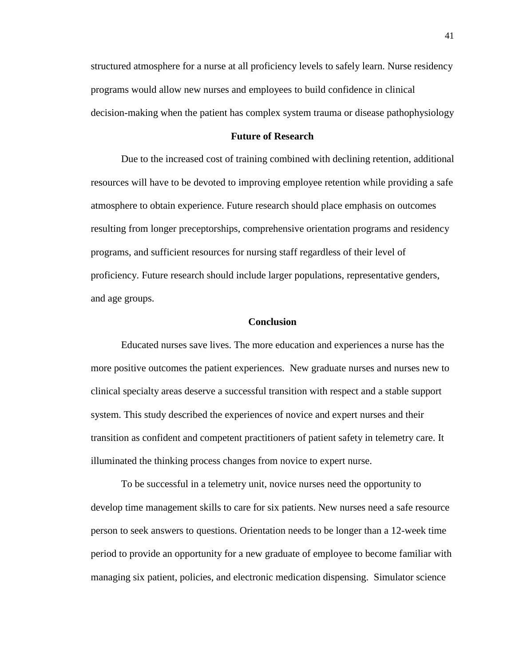structured atmosphere for a nurse at all proficiency levels to safely learn. Nurse residency programs would allow new nurses and employees to build confidence in clinical decision-making when the patient has complex system trauma or disease pathophysiology

#### **Future of Research**

Due to the increased cost of training combined with declining retention, additional resources will have to be devoted to improving employee retention while providing a safe atmosphere to obtain experience. Future research should place emphasis on outcomes resulting from longer preceptorships, comprehensive orientation programs and residency programs, and sufficient resources for nursing staff regardless of their level of proficiency. Future research should include larger populations, representative genders, and age groups.

#### **Conclusion**

Educated nurses save lives. The more education and experiences a nurse has the more positive outcomes the patient experiences. New graduate nurses and nurses new to clinical specialty areas deserve a successful transition with respect and a stable support system. This study described the experiences of novice and expert nurses and their transition as confident and competent practitioners of patient safety in telemetry care. It illuminated the thinking process changes from novice to expert nurse.

To be successful in a telemetry unit, novice nurses need the opportunity to develop time management skills to care for six patients. New nurses need a safe resource person to seek answers to questions. Orientation needs to be longer than a 12-week time period to provide an opportunity for a new graduate of employee to become familiar with managing six patient, policies, and electronic medication dispensing. Simulator science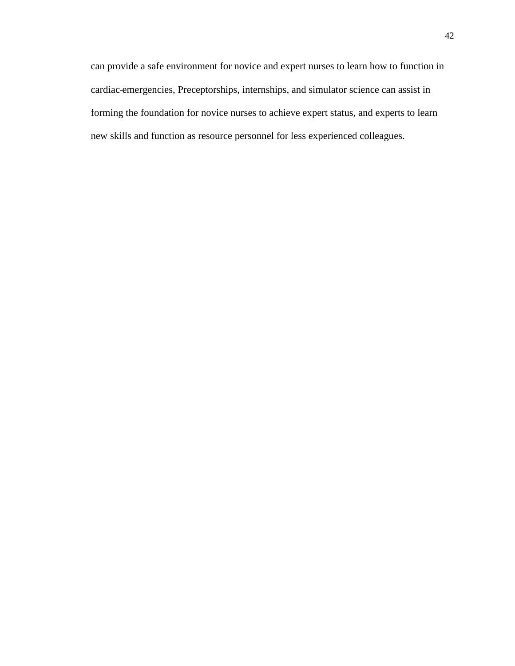can provide a safe environment for novice and expert nurses to learn how to function in cardiac emergencies, Preceptorships, internships, and simulator science can assist in forming the foundation for novice nurses to achieve expert status, and experts to learn new skills and function as resource personnel for less experienced colleagues.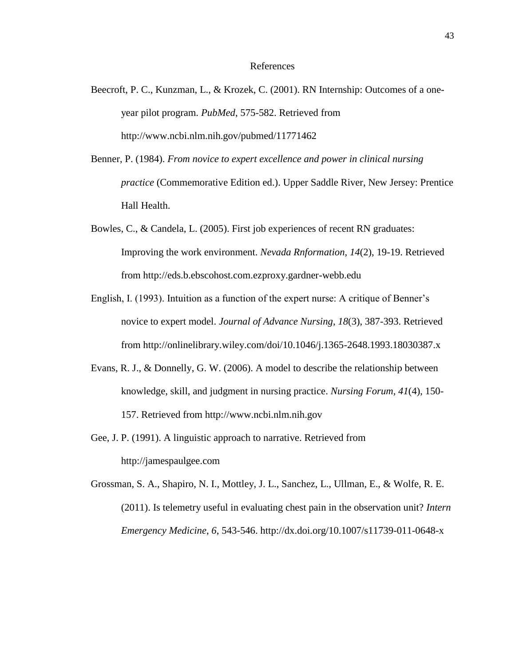#### References

- Beecroft, P. C., Kunzman, L., & Krozek, C. (2001). RN Internship: Outcomes of a oneyear pilot program. *PubMed*, 575-582. Retrieved from http://www.ncbi.nlm.nih.gov/pubmed/11771462
- Benner, P. (1984). *From novice to expert excellence and power in clinical nursing practice* (Commemorative Edition ed.). Upper Saddle River, New Jersey: Prentice Hall Health.
- Bowles, C., & Candela, L. (2005). First job experiences of recent RN graduates: Improving the work environment. *Nevada Rnformation*, *14*(2), 19-19. Retrieved from http://eds.b.ebscohost.com.ezproxy.gardner-webb.edu
- English, I. (1993). Intuition as a function of the expert nurse: A critique of Benner's novice to expert model. *Journal of Advance Nursing*, *18*(3), 387-393. Retrieved from http://onlinelibrary.wiley.com/doi/10.1046/j.1365-2648.1993.18030387.x
- Evans, R. J., & Donnelly, G. W. (2006). A model to describe the relationship between knowledge, skill, and judgment in nursing practice. *Nursing Forum*, *41*(4), 150- 157. Retrieved from http://www.ncbi.nlm.nih.gov
- Gee, J. P. (1991). A linguistic approach to narrative. Retrieved from http://jamespaulgee.com
- Grossman, S. A., Shapiro, N. I., Mottley, J. L., Sanchez, L., Ullman, E., & Wolfe, R. E. (2011). Is telemetry useful in evaluating chest pain in the observation unit? *Intern Emergency Medicine*, *6*, 543-546. http://dx.doi.org/10.1007/s11739-011-0648-x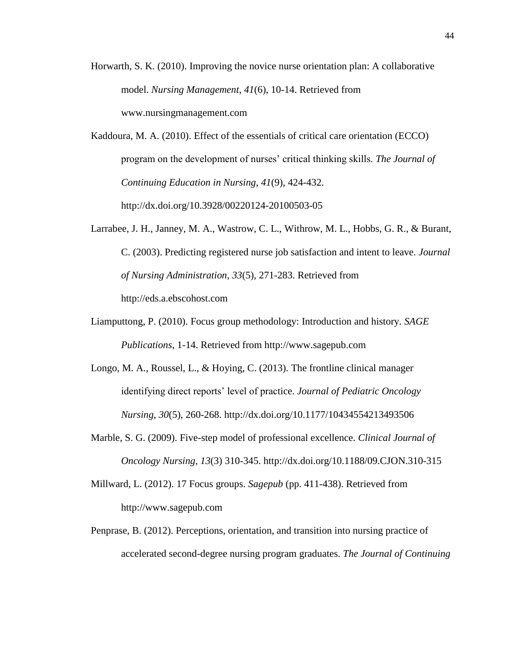Horwarth, S. K. (2010). Improving the novice nurse orientation plan: A collaborative model. *Nursing Management*, *41*(6), 10-14. Retrieved from www.nursingmanagement.com

Kaddoura, M. A. (2010). Effect of the essentials of critical care orientation (ECCO) program on the development of nurses' critical thinking skills. *The Journal of Continuing Education in Nursing*, *41*(9), 424-432. http://dx.doi.org/10.3928/00220124-20100503-05

- Larrabee, J. H., Janney, M. A., Wastrow, C. L., Withrow, M. L., Hobbs, G. R., & Burant, C. (2003). Predicting registered nurse job satisfaction and intent to leave. *Journal of Nursing Administration*, *33*(5), 271-283. Retrieved from http://eds.a.ebscohost.com
- Liamputtong, P. (2010). Focus group methodology: Introduction and history. *SAGE Publications*, 1-14. Retrieved from http://www.sagepub.com
- Longo, M. A., Roussel, L., & Hoying, C. (2013). The frontline clinical manager identifying direct reports' level of practice. *Journal of Pediatric Oncology Nursing*, *30*(5), 260-268. http://dx.doi.org/10.1177/10434554213493506
- Marble, S. G. (2009). Five-step model of professional excellence. *Clinical Journal of Oncology Nursing, 13*(3) 310-345. http://dx.doi.org/10.1188/09.CJON.310-315
- Millward, L. (2012). 17 Focus groups. *Sagepub* (pp. 411-438). Retrieved from http://www.sagepub.com
- Penprase, B. (2012). Perceptions, orientation, and transition into nursing practice of accelerated second-degree nursing program graduates. *The Journal of Continuing*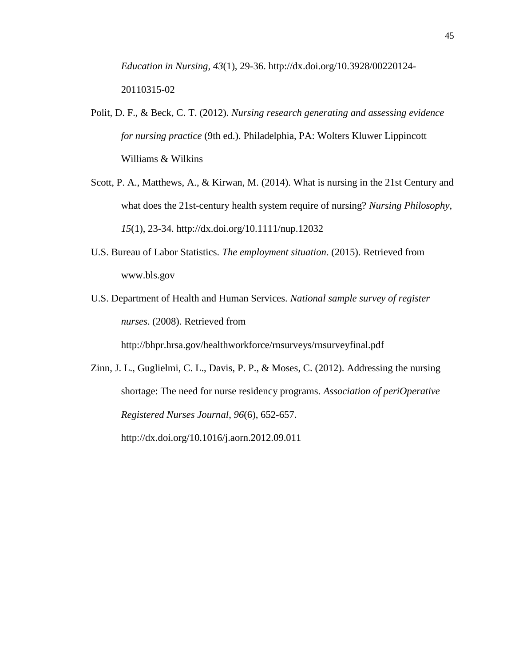*Education in Nursing, 43*(1), 29-36. http://dx.doi.org/10.3928/00220124- 20110315-02

- Polit, D. F., & Beck, C. T. (2012). *Nursing research generating and assessing evidence for nursing practice* (9th ed.). Philadelphia, PA: Wolters Kluwer Lippincott Williams & Wilkins
- Scott, P. A., Matthews, A., & Kirwan, M. (2014). What is nursing in the 21st Century and what does the 21st-century health system require of nursing? *Nursing Philosophy*, *15*(1), 23-34. http://dx.doi.org/10.1111/nup.12032
- U.S. Bureau of Labor Statistics. *The employment situation*. (2015). Retrieved from www.bls.gov
- U.S. Department of Health and Human Services. *National sample survey of register nurses*. (2008). Retrieved from

http://bhpr.hrsa.gov/healthworkforce/rnsurveys/rnsurveyfinal.pdf

Zinn, J. L., Guglielmi, C. L., Davis, P. P., & Moses, C. (2012). Addressing the nursing shortage: The need for nurse residency programs. *Association of periOperative Registered Nurses Journal*, *96*(6), 652-657. http://dx.doi.org/10.1016/j.aorn.2012.09.011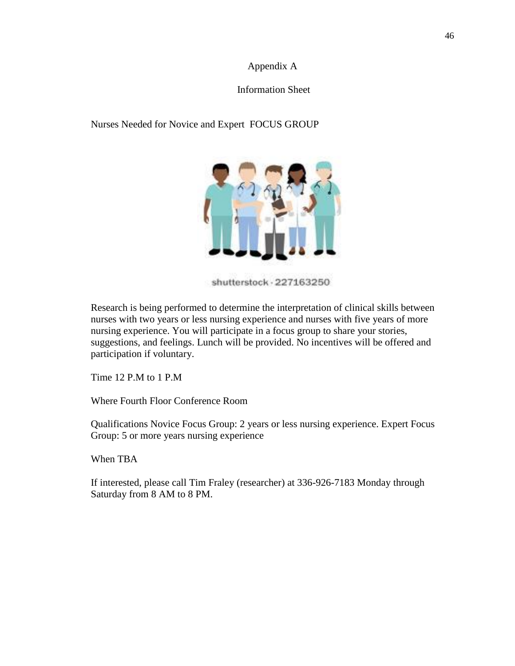#### Appendix A

#### Information Sheet

## Nurses Needed for Novice and Expert FOCUS GROUP



shutterstock - 227163250

Research is being performed to determine the interpretation of clinical skills between nurses with two years or less nursing experience and nurses with five years of more nursing experience. You will participate in a focus group to share your stories, suggestions, and feelings. Lunch will be provided. No incentives will be offered and participation if voluntary.

Time 12 P.M to 1 P.M

Where Fourth Floor Conference Room

Qualifications Novice Focus Group: 2 years or less nursing experience. Expert Focus Group: 5 or more years nursing experience

When TBA

If interested, please call Tim Fraley (researcher) at 336-926-7183 Monday through Saturday from 8 AM to 8 PM.